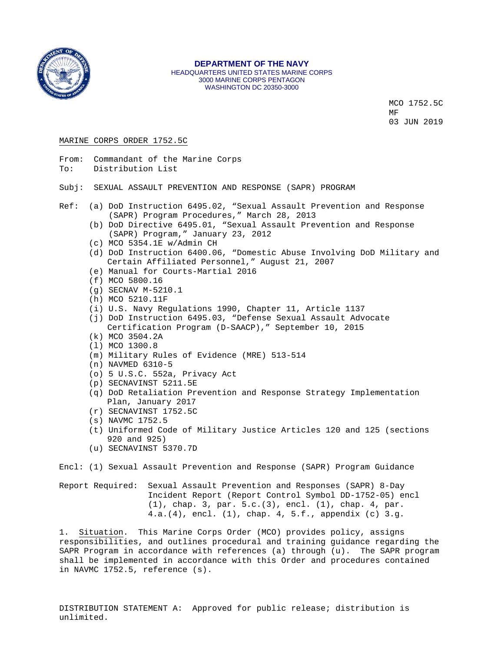

#### **DEPARTMENT OF THE NAVY** HEADQUARTERS UNITED STATES MARINE CORPS 3000 MARINE CORPS PENTAGON WASHINGTON DC 20350-3000

MCO 1752.5C MF 03 JUN 2019

#### MARINE CORPS ORDER 1752.5C

- From: Commandant of the Marine Corps<br>To: Distribution List Distribution List
- Subj: SEXUAL ASSAULT PREVENTION AND RESPONSE (SAPR) PROGRAM
- Ref: (a) DoD Instruction 6495.02, "Sexual Assault Prevention and Response (SAPR) Program Procedures," March 28, 2013
	- (b) DoD Directive 6495.01, "Sexual Assault Prevention and Response (SAPR) Program," January 23, 2012
	- (c) MCO 5354.1E w/Admin CH
	- (d) DoD Instruction 6400.06, "Domestic Abuse Involving DoD Military and Certain Affiliated Personnel," August 21, 2007
	- (e) Manual for Courts-Martial 2016
	- (f) MCO 5800.16
	- (g) SECNAV M-5210.1
	- (h) MCO 5210.11F
	- (i) U.S. Navy Regulations 1990, Chapter 11, Article 1137
	- (j) DoD Instruction 6495.03, "Defense Sexual Assault Advocate Certification Program (D-SAACP)," September 10, 2015
	- (k) MCO 3504.2A
	- (l) MCO 1300.8
	- (m) Military Rules of Evidence (MRE) 513-514
	- (n) NAVMED 6310-5
	- (o) 5 U.S.C. 552a, Privacy Act
	- (p) SECNAVINST 5211.5E
	- (q) DoD Retaliation Prevention and Response Strategy Implementation Plan, January 2017
	- (r) SECNAVINST 1752.5C
	- (s) NAVMC 1752.5
	- (t) Uniformed Code of Military Justice Articles 120 and 125 (sections 920 and 925)
	- (u) SECNAVINST 5370.7D

Encl: (1) Sexual Assault Prevention and Response (SAPR) Program Guidance

Report Required: Sexual Assault Prevention and Responses (SAPR) 8-Day Incident Report (Report Control Symbol DD-1752-05) encl (1), chap. 3, par. 5.c.(3), encl. (1), chap. 4, par. 4.a.(4), encl. (1), chap. 4, 5.f., appendix (c) 3.g.

1. Situation. This Marine Corps Order (MCO) provides policy, assigns responsibilities, and outlines procedural and training guidance regarding the SAPR Program in accordance with references (a) through (u). The SAPR program shall be implemented in accordance with this Order and procedures contained in NAVMC 1752.5, reference (s).

DISTRIBUTION STATEMENT A: Approved for public release; distribution is unlimited.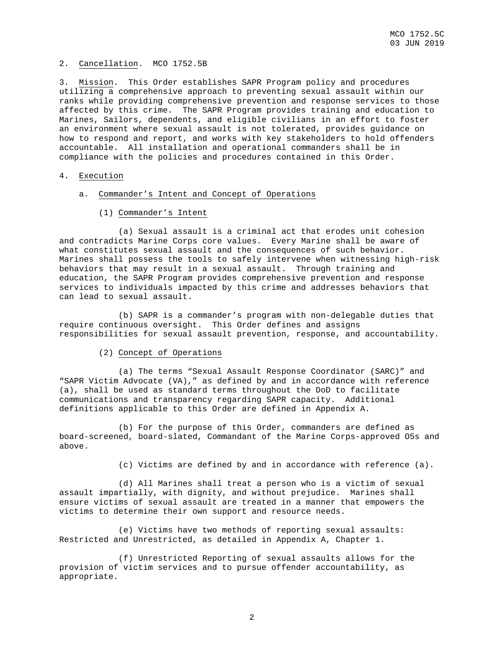## 2. Cancellation. MCO 1752.5B

3. Mission. This Order establishes SAPR Program policy and procedures utilizing a comprehensive approach to preventing sexual assault within our ranks while providing comprehensive prevention and response services to those affected by this crime. The SAPR Program provides training and education to Marines, Sailors, dependents, and eligible civilians in an effort to foster an environment where sexual assault is not tolerated, provides guidance on how to respond and report, and works with key stakeholders to hold offenders accountable. All installation and operational commanders shall be in compliance with the policies and procedures contained in this Order.

## 4. Execution

- a. Commander's Intent and Concept of Operations
	- (1) Commander's Intent

 (a) Sexual assault is a criminal act that erodes unit cohesion and contradicts Marine Corps core values. Every Marine shall be aware of what constitutes sexual assault and the consequences of such behavior. Marines shall possess the tools to safely intervene when witnessing high-risk behaviors that may result in a sexual assault. Through training and education, the SAPR Program provides comprehensive prevention and response services to individuals impacted by this crime and addresses behaviors that can lead to sexual assault.

 (b) SAPR is a commander's program with non-delegable duties that require continuous oversight. This Order defines and assigns responsibilities for sexual assault prevention, response, and accountability.

(2) Concept of Operations

 (a) The terms "Sexual Assault Response Coordinator (SARC)" and "SAPR Victim Advocate (VA)," as defined by and in accordance with reference (a), shall be used as standard terms throughout the DoD to facilitate communications and transparency regarding SAPR capacity. Additional definitions applicable to this Order are defined in Appendix A.

 (b) For the purpose of this Order, commanders are defined as board-screened, board-slated, Commandant of the Marine Corps-approved O5s and above.

(c) Victims are defined by and in accordance with reference (a).

 (d) All Marines shall treat a person who is a victim of sexual assault impartially, with dignity, and without prejudice. Marines shall ensure victims of sexual assault are treated in a manner that empowers the victims to determine their own support and resource needs.

 (e) Victims have two methods of reporting sexual assaults: Restricted and Unrestricted, as detailed in Appendix A, Chapter 1.

 (f) Unrestricted Reporting of sexual assaults allows for the provision of victim services and to pursue offender accountability, as appropriate.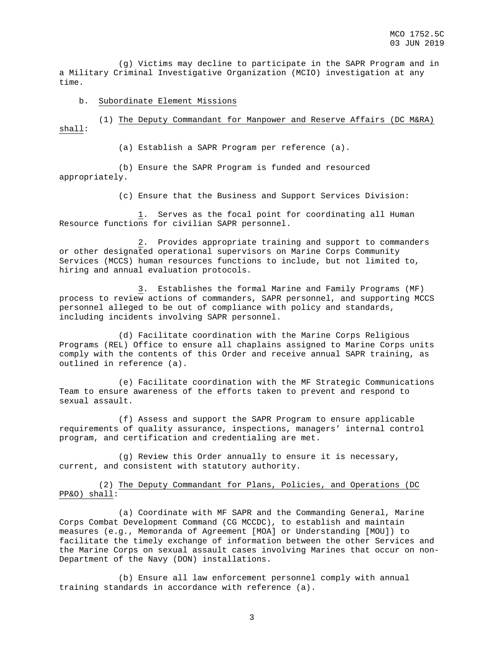(g) Victims may decline to participate in the SAPR Program and in a Military Criminal Investigative Organization (MCIO) investigation at any time.

## b. Subordinate Element Missions

 (1) The Deputy Commandant for Manpower and Reserve Affairs (DC M&RA) shall:

(a) Establish a SAPR Program per reference (a).

 (b) Ensure the SAPR Program is funded and resourced appropriately.

(c) Ensure that the Business and Support Services Division:

 1. Serves as the focal point for coordinating all Human Resource functions for civilian SAPR personnel.

 2. Provides appropriate training and support to commanders or other designated operational supervisors on Marine Corps Community Services (MCCS) human resources functions to include, but not limited to, hiring and annual evaluation protocols.

 3. Establishes the formal Marine and Family Programs (MF) process to review actions of commanders, SAPR personnel, and supporting MCCS personnel alleged to be out of compliance with policy and standards, including incidents involving SAPR personnel.

 (d) Facilitate coordination with the Marine Corps Religious Programs (REL) Office to ensure all chaplains assigned to Marine Corps units comply with the contents of this Order and receive annual SAPR training, as outlined in reference (a).

 (e) Facilitate coordination with the MF Strategic Communications Team to ensure awareness of the efforts taken to prevent and respond to sexual assault.

 (f) Assess and support the SAPR Program to ensure applicable requirements of quality assurance, inspections, managers' internal control program, and certification and credentialing are met.

 (g) Review this Order annually to ensure it is necessary, current, and consistent with statutory authority.

 (2) The Deputy Commandant for Plans, Policies, and Operations (DC PP&O) shall:

 (a) Coordinate with MF SAPR and the Commanding General, Marine Corps Combat Development Command (CG MCCDC), to establish and maintain measures (e.g., Memoranda of Agreement [MOA] or Understanding [MOU]) to facilitate the timely exchange of information between the other Services and the Marine Corps on sexual assault cases involving Marines that occur on non-Department of the Navy (DON) installations.

 (b) Ensure all law enforcement personnel comply with annual training standards in accordance with reference (a).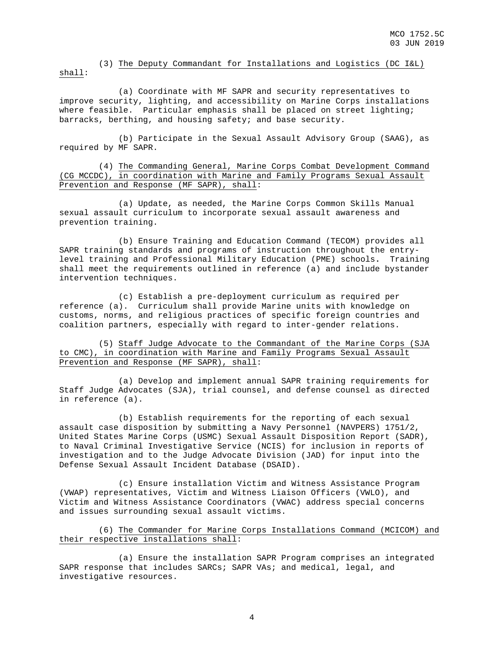(3) The Deputy Commandant for Installations and Logistics (DC I&L) shall:

 (a) Coordinate with MF SAPR and security representatives to improve security, lighting, and accessibility on Marine Corps installations where feasible. Particular emphasis shall be placed on street lighting; barracks, berthing, and housing safety; and base security.

 (b) Participate in the Sexual Assault Advisory Group (SAAG), as required by MF SAPR.

 (4) The Commanding General, Marine Corps Combat Development Command (CG MCCDC), in coordination with Marine and Family Programs Sexual Assault Prevention and Response (MF SAPR), shall:

 (a) Update, as needed, the Marine Corps Common Skills Manual sexual assault curriculum to incorporate sexual assault awareness and prevention training.

 (b) Ensure Training and Education Command (TECOM) provides all SAPR training standards and programs of instruction throughout the entrylevel training and Professional Military Education (PME) schools**.** Training shall meet the requirements outlined in reference (a) and include bystander intervention techniques.

 (c) Establish a pre-deployment curriculum as required per reference (a). Curriculum shall provide Marine units with knowledge on customs, norms, and religious practices of specific foreign countries and coalition partners, especially with regard to inter-gender relations.

 (5) Staff Judge Advocate to the Commandant of the Marine Corps (SJA to CMC), in coordination with Marine and Family Programs Sexual Assault Prevention and Response (MF SAPR), shall:

 (a) Develop and implement annual SAPR training requirements for Staff Judge Advocates (SJA), trial counsel, and defense counsel as directed in reference (a).

 (b) Establish requirements for the reporting of each sexual assault case disposition by submitting a Navy Personnel (NAVPERS) 1751/2, United States Marine Corps (USMC) Sexual Assault Disposition Report (SADR), to Naval Criminal Investigative Service (NCIS) for inclusion in reports of investigation and to the Judge Advocate Division (JAD) for input into the Defense Sexual Assault Incident Database (DSAID).

 (c) Ensure installation Victim and Witness Assistance Program (VWAP) representatives, Victim and Witness Liaison Officers (VWLO), and Victim and Witness Assistance Coordinators (VWAC) address special concerns and issues surrounding sexual assault victims.

 (6) The Commander for Marine Corps Installations Command (MCICOM) and their respective installations shall:

 (a) Ensure the installation SAPR Program comprises an integrated SAPR response that includes SARCs; SAPR VAs; and medical, legal, and investigative resources.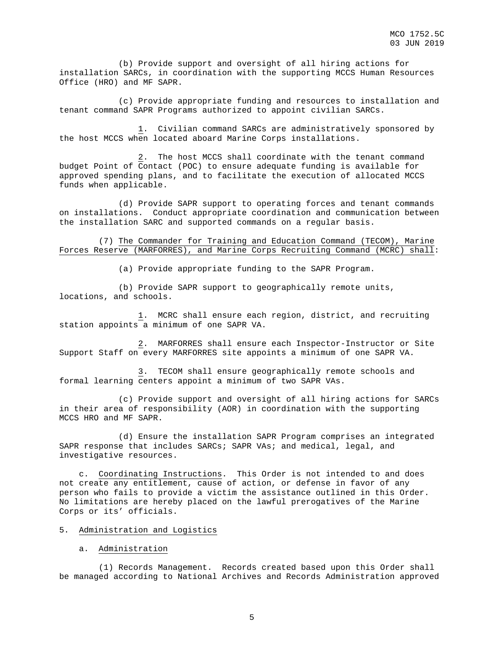(b) Provide support and oversight of all hiring actions for installation SARCs, in coordination with the supporting MCCS Human Resources Office (HRO) and MF SAPR.

 (c) Provide appropriate funding and resources to installation and tenant command SAPR Programs authorized to appoint civilian SARCs.

 1. Civilian command SARCs are administratively sponsored by the host MCCS when located aboard Marine Corps installations.

 2. The host MCCS shall coordinate with the tenant command budget Point of Contact (POC) to ensure adequate funding is available for approved spending plans, and to facilitate the execution of allocated MCCS funds when applicable.

 (d) Provide SAPR support to operating forces and tenant commands on installations. Conduct appropriate coordination and communication between the installation SARC and supported commands on a regular basis.

 (7) The Commander for Training and Education Command (TECOM), Marine Forces Reserve (MARFORRES), and Marine Corps Recruiting Command (MCRC) shall:

(a) Provide appropriate funding to the SAPR Program.

 (b) Provide SAPR support to geographically remote units, locations, and schools.

 1. MCRC shall ensure each region, district, and recruiting station appoints a minimum of one SAPR VA.

 2. MARFORRES shall ensure each Inspector-Instructor or Site Support Staff on every MARFORRES site appoints a minimum of one SAPR VA.

 3. TECOM shall ensure geographically remote schools and formal learning centers appoint a minimum of two SAPR VAs.

 (c) Provide support and oversight of all hiring actions for SARCs in their area of responsibility (AOR) in coordination with the supporting MCCS HRO and MF SAPR.

 (d) Ensure the installation SAPR Program comprises an integrated SAPR response that includes SARCs; SAPR VAs; and medical, legal, and investigative resources.

 c. Coordinating Instructions. This Order is not intended to and does not create any entitlement, cause of action, or defense in favor of any person who fails to provide a victim the assistance outlined in this Order. No limitations are hereby placed on the lawful prerogatives of the Marine Corps or its' officials.

## 5. Administration and Logistics

### a. Administration

 (1) Records Management. Records created based upon this Order shall be managed according to National Archives and Records Administration approved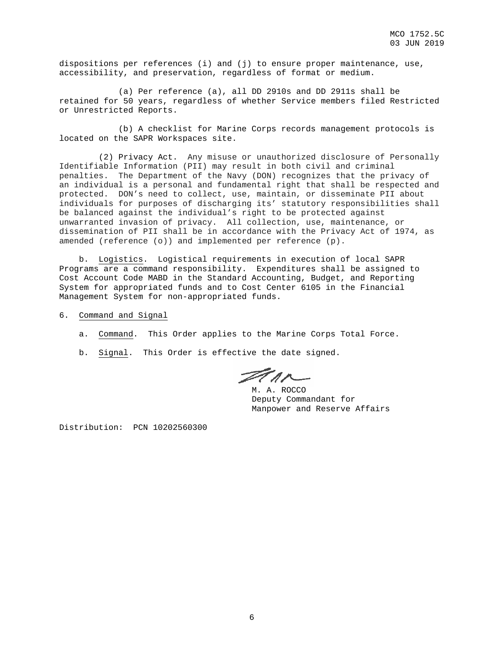dispositions per references (i) and (j) to ensure proper maintenance, use, accessibility, and preservation, regardless of format or medium.

 (a) Per reference (a), all DD 2910s and DD 2911s shall be retained for 50 years, regardless of whether Service members filed Restricted or Unrestricted Reports.

 (b) A checklist for Marine Corps records management protocols is located on the SAPR Workspaces site.

 (2) Privacy Act. Any misuse or unauthorized disclosure of Personally Identifiable Information (PII) may result in both civil and criminal penalties. The Department of the Navy (DON) recognizes that the privacy of an individual is a personal and fundamental right that shall be respected and protected. DON's need to collect, use, maintain, or disseminate PII about individuals for purposes of discharging its' statutory responsibilities shall be balanced against the individual's right to be protected against unwarranted invasion of privacy. All collection, use, maintenance, or dissemination of PII shall be in accordance with the Privacy Act of 1974, as amended (reference (o)) and implemented per reference (p).

 b. Logistics. Logistical requirements in execution of local SAPR Programs are a command responsibility. Expenditures shall be assigned to Cost Account Code MABD in the Standard Accounting, Budget, and Reporting System for appropriated funds and to Cost Center 6105 in the Financial Management System for non-appropriated funds.

- 6. Command and Signal
	- a. Command. This Order applies to the Marine Corps Total Force.
	- b. Signal. This Order is effective the date signed.

Ferr

M. A. ROCCO Deputy Commandant for Manpower and Reserve Affairs

Distribution: PCN 10202560300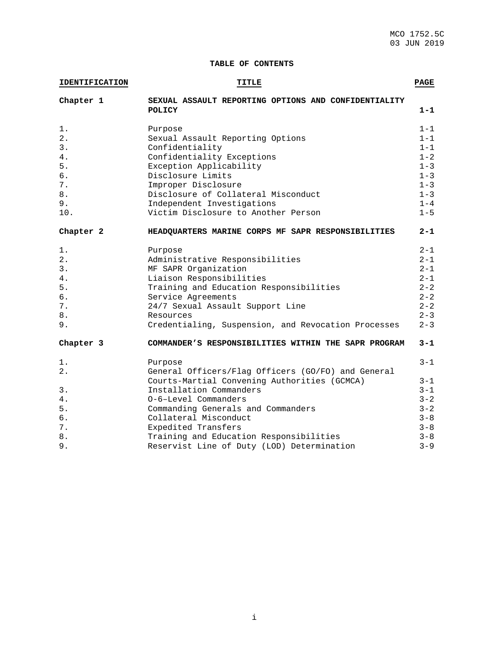## **TABLE OF CONTENTS**

| <b>IDENTIFICATION</b> | <b>TITLE</b>                                                   | <b>PAGE</b>        |
|-----------------------|----------------------------------------------------------------|--------------------|
| Chapter 1             | SEXUAL ASSAULT REPORTING OPTIONS AND CONFIDENTIALITY<br>POLICY | $1 - 1$            |
| $1$ .                 | Purpose                                                        | $1 - 1$            |
| 2.                    | Sexual Assault Reporting Options                               | $1 - 1$            |
| 3.                    | Confidentiality                                                | $1 - 1$            |
| 4.                    | Confidentiality Exceptions                                     | $1 - 2$            |
| 5.                    | Exception Applicability                                        | $1 - 3$            |
| б.                    | Disclosure Limits                                              | $1 - 3$<br>$1 - 3$ |
| $7$ .<br>8.           | Improper Disclosure<br>Disclosure of Collateral Misconduct     | $1 - 3$            |
| 9.                    | Independent Investigations                                     | $1 - 4$            |
| 10.                   | Victim Disclosure to Another Person                            | $1 - 5$            |
|                       |                                                                |                    |
| Chapter 2             | HEADQUARTERS MARINE CORPS MF SAPR RESPONSIBILITIES             | $2 - 1$            |
| 1.                    | Purpose                                                        | $2 - 1$            |
| 2.                    | Administrative Responsibilities                                | $2 - 1$            |
| 3.                    | MF SAPR Organization                                           | $2 - 1$            |
| 4.                    | Liaison Responsibilities                                       | $2 - 1$            |
| 5.                    | Training and Education Responsibilities                        | $2 - 2$            |
| б.                    | Service Agreements                                             | $2 - 2$            |
| $7$ .                 | 24/7 Sexual Assault Support Line                               | $2 - 2$            |
| $\bf 8$ .             | Resources                                                      | $2 - 3$            |
| 9.                    | Credentialing, Suspension, and Revocation Processes            | $2 - 3$            |
| Chapter 3             | COMMANDER'S RESPONSIBILITIES WITHIN THE SAPR PROGRAM           | $3 - 1$            |
| 1.                    | Purpose                                                        | $3 - 1$            |
| 2.                    | General Officers/Flag Officers (GO/FO) and General             |                    |
|                       | Courts-Martial Convening Authorities (GCMCA)                   | $3 - 1$            |
| 3.                    | Installation Commanders                                        | $3 - 1$            |
| 4.                    | 0-6-Level Commanders                                           | $3 - 2$            |
| 5.                    | Commanding Generals and Commanders                             | $3 - 2$            |
| б.                    | Collateral Misconduct                                          | $3 - 8$            |
| $7$ .                 | Expedited Transfers                                            | $3 - 8$            |
| 8.                    | Training and Education Responsibilities                        | $3 - 8$            |
| 9.                    | Reservist Line of Duty (LOD) Determination                     | $3 - 9$            |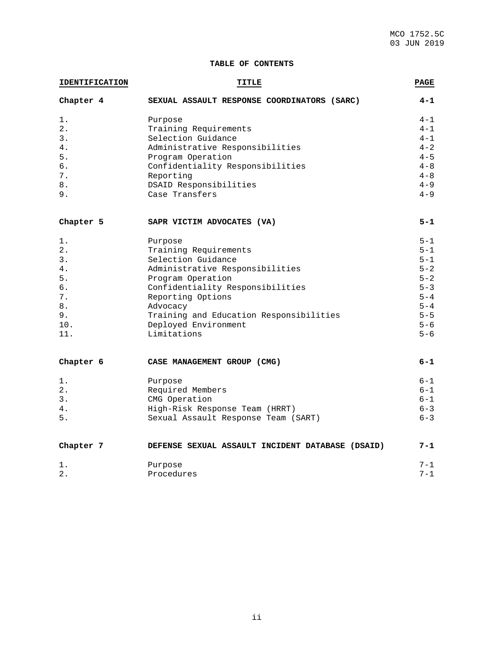## **TABLE OF CONTENTS**

| <b>IDENTIFICATION</b> | TITLE                                            |         |
|-----------------------|--------------------------------------------------|---------|
| Chapter 4             | SEXUAL ASSAULT RESPONSE COORDINATORS (SARC)      | $4 - 1$ |
| 1.                    | Purpose                                          | $4 - 1$ |
| 2.                    | Training Requirements                            | $4 - 1$ |
| 3.                    | Selection Guidance                               | $4 - 1$ |
| 4.                    | Administrative Responsibilities                  | $4 - 2$ |
| 5.                    | Program Operation                                | $4 - 5$ |
| б.                    | Confidentiality Responsibilities                 | $4 - 8$ |
| 7.                    | Reporting                                        | $4 - 8$ |
| 8.                    | DSAID Responsibilities                           | $4 - 9$ |
| 9.                    | Case Transfers                                   | $4 - 9$ |
| Chapter 5             | SAPR VICTIM ADVOCATES (VA)                       | $5 - 1$ |
| 1.                    | Purpose                                          | $5 - 1$ |
| 2.                    | Training Requirements                            | $5 - 1$ |
| 3.                    | Selection Guidance                               | $5 - 1$ |
| 4.                    | Administrative Responsibilities                  | $5 - 2$ |
| 5.                    | Program Operation                                | $5 - 2$ |
| б.                    | Confidentiality Responsibilities                 | $5 - 3$ |
| 7.                    | Reporting Options                                | $5 - 4$ |
| 8.                    | Advocacy                                         | $5 - 4$ |
| 9.                    | Training and Education Responsibilities          | $5 - 5$ |
| 10.                   | Deployed Environment                             | $5 - 6$ |
| 11.                   | Limitations                                      | $5 - 6$ |
| Chapter 6             | CASE MANAGEMENT GROUP (CMG)                      | $6 - 1$ |
| 1.                    | Purpose                                          | $6 - 1$ |
| 2.                    | Required Members                                 | $6 - 1$ |
| 3.                    | CMG Operation                                    | $6 - 1$ |
| 4.                    | High-Risk Response Team (HRRT)                   | $6 - 3$ |
| 5.                    | Sexual Assault Response Team (SART)              | $6 - 3$ |
| Chapter 7             | DEFENSE SEXUAL ASSAULT INCIDENT DATABASE (DSAID) | $7 - 1$ |
| 1.                    | Purpose                                          | $7 - 1$ |
| 2.                    | Procedures                                       | $7 - 1$ |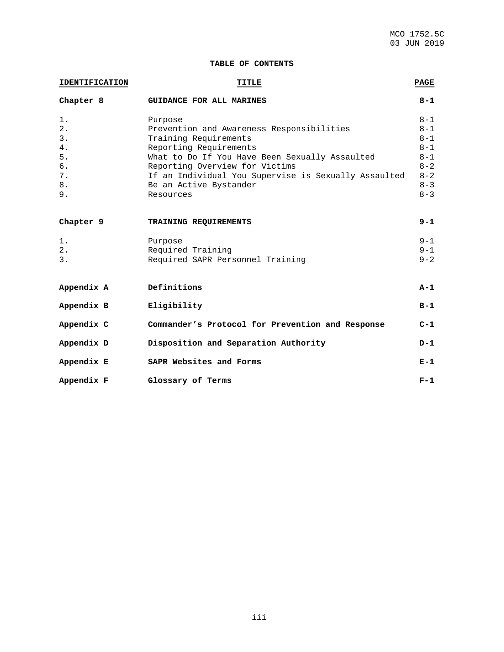## **TABLE OF CONTENTS**

| <b>IDENTIFICATION</b> | <b>TITLE</b>                                         | PAGE    |
|-----------------------|------------------------------------------------------|---------|
| Chapter 8             | GUIDANCE FOR ALL MARINES                             | $8 - 1$ |
| $1$ .                 | Purpose                                              | $8 - 1$ |
| 2.                    | Prevention and Awareness Responsibilities            | $8 - 1$ |
| 3.                    | Training Requirements                                | $8 - 1$ |
| 4.                    | Reporting Requirements                               | $8 - 1$ |
| 5.                    | What to Do If You Have Been Sexually Assaulted       | $8 - 1$ |
| б.                    | Reporting Overview for Victims                       | $8 - 2$ |
| 7.                    | If an Individual You Supervise is Sexually Assaulted | $8 - 2$ |
| 8.                    | Be an Active Bystander                               | $8 - 3$ |
| 9.                    | Resources                                            | $8 - 3$ |
| Chapter 9             | TRAINING REQUIREMENTS                                | $9 - 1$ |
| $1$ .                 | Purpose                                              | $9 - 1$ |
| 2.                    | Required Training                                    | $9 - 1$ |
| 3.                    | Required SAPR Personnel Training                     | $9 - 2$ |
| Appendix A            | Definitions                                          | $A-1$   |
| Appendix B            | Eligibility                                          | $B-1$   |
| Appendix C            | Commander's Protocol for Prevention and Response     | $C-1$   |
| Appendix D            | Disposition and Separation Authority                 | $D-1$   |
| Appendix E            | SAPR Websites and Forms                              | $E-1$   |
| Appendix F            | Glossary of Terms                                    | $F-1$   |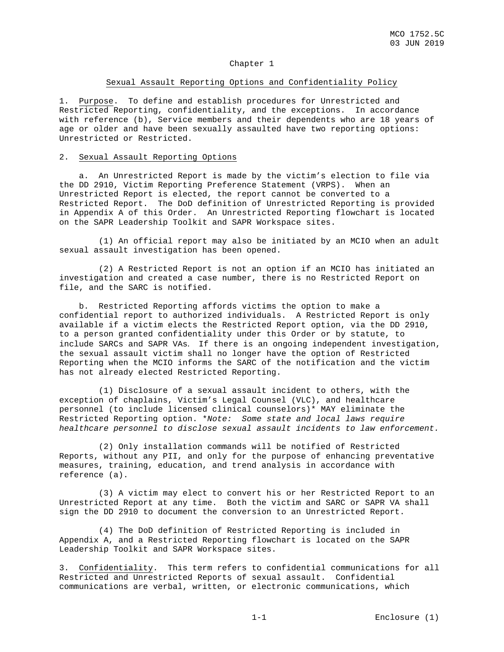## Chapter 1

#### Sexual Assault Reporting Options and Confidentiality Policy

1. Purpose. To define and establish procedures for Unrestricted and Restricted Reporting, confidentiality, and the exceptions. In accordance with reference (b), Service members and their dependents who are 18 years of age or older and have been sexually assaulted have two reporting options: Unrestricted or Restricted.

#### 2. Sexual Assault Reporting Options

 a. An Unrestricted Report is made by the victim's election to file via the DD 2910, Victim Reporting Preference Statement (VRPS). When an Unrestricted Report is elected, the report cannot be converted to a Restricted Report. The DoD definition of Unrestricted Reporting is provided in Appendix A of this Order. An Unrestricted Reporting flowchart is located on the SAPR Leadership Toolkit and SAPR Workspace sites.

 (1) An official report may also be initiated by an MCIO when an adult sexual assault investigation has been opened.

 (2) A Restricted Report is not an option if an MCIO has initiated an investigation and created a case number, there is no Restricted Report on file, and the SARC is notified.

 b. Restricted Reporting affords victims the option to make a confidential report to authorized individuals. A Restricted Report is only available if a victim elects the Restricted Report option, via the DD 2910, to a person granted confidentiality under this Order or by statute, to include SARCs and SAPR VAs. If there is an ongoing independent investigation, the sexual assault victim shall no longer have the option of Restricted Reporting when the MCIO informs the SARC of the notification and the victim has not already elected Restricted Reporting.

 (1) Disclosure of a sexual assault incident to others, with the exception of chaplains, Victim's Legal Counsel (VLC), and healthcare personnel (to include licensed clinical counselors)\* MAY eliminate the Restricted Reporting option. \**Note: Some state and local laws require healthcare personnel to disclose sexual assault incidents to law enforcement.*

 (2) Only installation commands will be notified of Restricted Reports, without any PII, and only for the purpose of enhancing preventative measures, training, education, and trend analysis in accordance with reference (a).

 (3) A victim may elect to convert his or her Restricted Report to an Unrestricted Report at any time. Both the victim and SARC or SAPR VA shall sign the DD 2910 to document the conversion to an Unrestricted Report.

 (4) The DoD definition of Restricted Reporting is included in Appendix A, and a Restricted Reporting flowchart is located on the SAPR Leadership Toolkit and SAPR Workspace sites.

3. Confidentiality. This term refers to confidential communications for all Restricted and Unrestricted Reports of sexual assault. Confidential communications are verbal, written, or electronic communications, which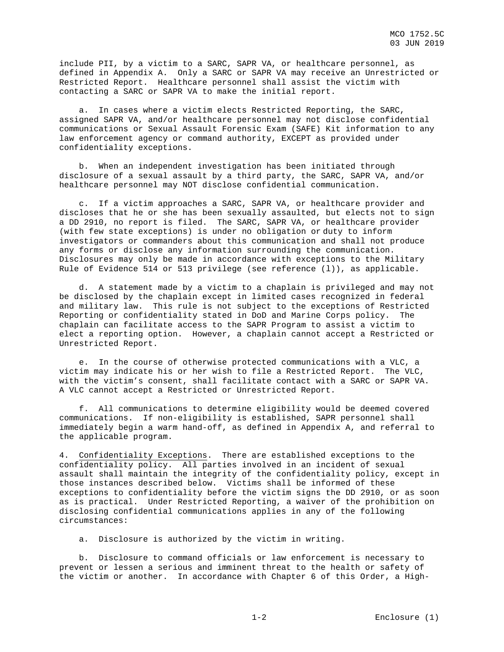include PII, by a victim to a SARC, SAPR VA, or healthcare personnel, as defined in Appendix A. Only a SARC or SAPR VA may receive an Unrestricted or Restricted Report. Healthcare personnel shall assist the victim with contacting a SARC or SAPR VA to make the initial report.

 a. In cases where a victim elects Restricted Reporting, the SARC, assigned SAPR VA, and/or healthcare personnel may not disclose confidential communications or Sexual Assault Forensic Exam (SAFE) Kit information to any law enforcement agency or command authority, EXCEPT as provided under confidentiality exceptions.

 b. When an independent investigation has been initiated through disclosure of a sexual assault by a third party, the SARC, SAPR VA, and/or healthcare personnel may NOT disclose confidential communication.

 c. If a victim approaches a SARC, SAPR VA, or healthcare provider and discloses that he or she has been sexually assaulted, but elects not to sign a DD 2910, no report is filed. The SARC, SAPR VA, or healthcare provider (with few state exceptions) is under no obligation or duty to inform investigators or commanders about this communication and shall not produce any forms or disclose any information surrounding the communication. Disclosures may only be made in accordance with exceptions to the Military Rule of Evidence 514 or 513 privilege (see reference (l)), as applicable.

 d. A statement made by a victim to a chaplain is privileged and may not be disclosed by the chaplain except in limited cases recognized in federal and military law. This rule is not subject to the exceptions of Restricted Reporting or confidentiality stated in DoD and Marine Corps policy. The chaplain can facilitate access to the SAPR Program to assist a victim to elect a reporting option. However, a chaplain cannot accept a Restricted or Unrestricted Report.

 e. In the course of otherwise protected communications with a VLC, a victim may indicate his or her wish to file a Restricted Report. The VLC, with the victim's consent, shall facilitate contact with a SARC or SAPR VA. A VLC cannot accept a Restricted or Unrestricted Report.

 f. All communications to determine eligibility would be deemed covered communications. If non-eligibility is established, SAPR personnel shall immediately begin a warm hand-off, as defined in Appendix A, and referral to the applicable program.

4. Confidentiality Exceptions. There are established exceptions to the confidentiality policy. All parties involved in an incident of sexual assault shall maintain the integrity of the confidentiality policy, except in those instances described below. Victims shall be informed of these exceptions to confidentiality before the victim signs the DD 2910, or as soon as is practical. Under Restricted Reporting, a waiver of the prohibition on disclosing confidential communications applies in any of the following circumstances:

a. Disclosure is authorized by the victim in writing.

 b. Disclosure to command officials or law enforcement is necessary to prevent or lessen a serious and imminent threat to the health or safety of the victim or another. In accordance with Chapter 6 of this Order, a High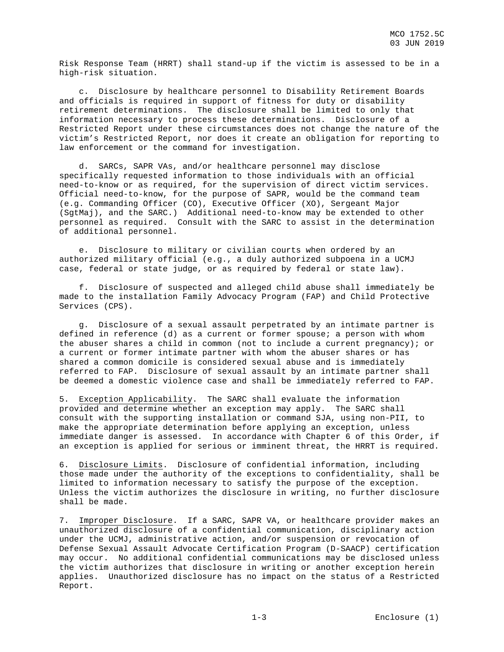Risk Response Team (HRRT) shall stand-up if the victim is assessed to be in a high-risk situation.

 c. Disclosure by healthcare personnel to Disability Retirement Boards and officials is required in support of fitness for duty or disability retirement determinations. The disclosure shall be limited to only that information necessary to process these determinations. Disclosure of a Restricted Report under these circumstances does not change the nature of the victim's Restricted Report, nor does it create an obligation for reporting to law enforcement or the command for investigation.

 d. SARCs, SAPR VAs, and/or healthcare personnel may disclose specifically requested information to those individuals with an official need-to-know or as required, for the supervision of direct victim services. Official need-to-know, for the purpose of SAPR, would be the command team (e.g. Commanding Officer (CO), Executive Officer (XO), Sergeant Major (SgtMaj), and the SARC.) Additional need-to-know may be extended to other personnel as required. Consult with the SARC to assist in the determination of additional personnel.

 e. Disclosure to military or civilian courts when ordered by an authorized military official (e.g., a duly authorized subpoena in a UCMJ case, federal or state judge, or as required by federal or state law).

 f. Disclosure of suspected and alleged child abuse shall immediately be made to the installation Family Advocacy Program (FAP) and Child Protective Services (CPS).

 g. Disclosure of a sexual assault perpetrated by an intimate partner is defined in reference (d) as a current or former spouse; a person with whom the abuser shares a child in common (not to include a current pregnancy); or a current or former intimate partner with whom the abuser shares or has shared a common domicile is considered sexual abuse and is immediately referred to FAP. Disclosure of sexual assault by an intimate partner shall be deemed a domestic violence case and shall be immediately referred to FAP.

5. Exception Applicability. The SARC shall evaluate the information provided and determine whether an exception may apply. The SARC shall consult with the supporting installation or command SJA, using non-PII, to make the appropriate determination before applying an exception, unless immediate danger is assessed. In accordance with Chapter 6 of this Order, if an exception is applied for serious or imminent threat, the HRRT is required.

6. Disclosure Limits. Disclosure of confidential information, including those made under the authority of the exceptions to confidentiality, shall be limited to information necessary to satisfy the purpose of the exception. Unless the victim authorizes the disclosure in writing, no further disclosure shall be made.

7. Improper Disclosure. If a SARC, SAPR VA, or healthcare provider makes an unauthorized disclosure of a confidential communication, disciplinary action under the UCMJ, administrative action, and/or suspension or revocation of Defense Sexual Assault Advocate Certification Program (D-SAACP) certification may occur. No additional confidential communications may be disclosed unless the victim authorizes that disclosure in writing or another exception herein applies. Unauthorized disclosure has no impact on the status of a Restricted Report.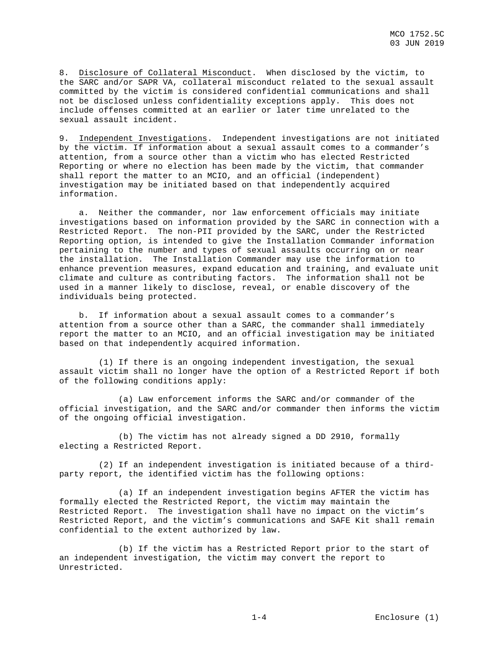8. Disclosure of Collateral Misconduct. When disclosed by the victim, to the SARC and/or SAPR VA, collateral misconduct related to the sexual assault committed by the victim is considered confidential communications and shall not be disclosed unless confidentiality exceptions apply. This does not include offenses committed at an earlier or later time unrelated to the sexual assault incident.

9. Independent Investigations. Independent investigations are not initiated by the victim. If information about a sexual assault comes to a commander's attention, from a source other than a victim who has elected Restricted Reporting or where no election has been made by the victim, that commander shall report the matter to an MCIO, and an official (independent) investigation may be initiated based on that independently acquired information.

 a. Neither the commander, nor law enforcement officials may initiate investigations based on information provided by the SARC in connection with a Restricted Report. The non-PII provided by the SARC, under the Restricted Reporting option, is intended to give the Installation Commander information pertaining to the number and types of sexual assaults occurring on or near the installation. The Installation Commander may use the information to enhance prevention measures, expand education and training, and evaluate unit climate and culture as contributing factors. The information shall not be used in a manner likely to disclose, reveal, or enable discovery of the individuals being protected.

 b. If information about a sexual assault comes to a commander's attention from a source other than a SARC, the commander shall immediately report the matter to an MCIO, and an official investigation may be initiated based on that independently acquired information.

 (1) If there is an ongoing independent investigation, the sexual assault victim shall no longer have the option of a Restricted Report if both of the following conditions apply:

 (a) Law enforcement informs the SARC and/or commander of the official investigation, and the SARC and/or commander then informs the victim of the ongoing official investigation.

 (b) The victim has not already signed a DD 2910, formally electing a Restricted Report.

 (2) If an independent investigation is initiated because of a thirdparty report, the identified victim has the following options:

 (a) If an independent investigation begins AFTER the victim has formally elected the Restricted Report, the victim may maintain the Restricted Report. The investigation shall have no impact on the victim's Restricted Report, and the victim's communications and SAFE Kit shall remain confidential to the extent authorized by law.

 (b) If the victim has a Restricted Report prior to the start of an independent investigation, the victim may convert the report to Unrestricted.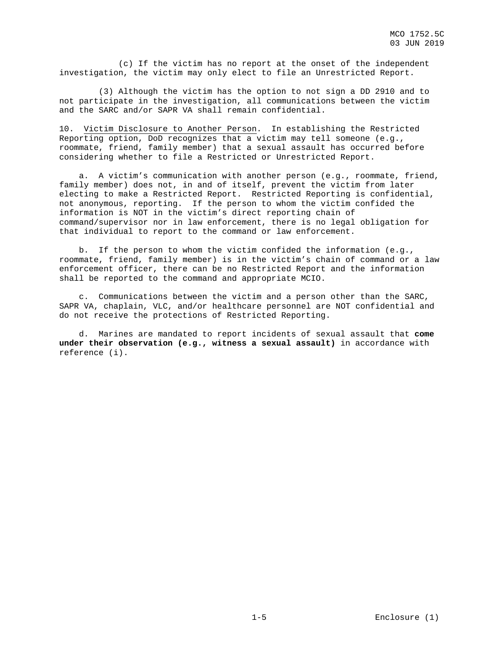(c) If the victim has no report at the onset of the independent investigation, the victim may only elect to file an Unrestricted Report.

 (3) Although the victim has the option to not sign a DD 2910 and to not participate in the investigation, all communications between the victim and the SARC and/or SAPR VA shall remain confidential.

10. Victim Disclosure to Another Person. In establishing the Restricted Reporting option, DoD recognizes that a victim may tell someone (e.g., roommate, friend, family member) that a sexual assault has occurred before considering whether to file a Restricted or Unrestricted Report.

 a. A victim's communication with another person (e.g., roommate, friend, family member) does not, in and of itself, prevent the victim from later electing to make a Restricted Report. Restricted Reporting is confidential, not anonymous, reporting. If the person to whom the victim confided the information is NOT in the victim's direct reporting chain of command/supervisor nor in law enforcement, there is no legal obligation for that individual to report to the command or law enforcement.

 b. If the person to whom the victim confided the information (e.g., roommate, friend, family member) is in the victim's chain of command or a law enforcement officer, there can be no Restricted Report and the information shall be reported to the command and appropriate MCIO.

 c. Communications between the victim and a person other than the SARC, SAPR VA, chaplain, VLC, and/or healthcare personnel are NOT confidential and do not receive the protections of Restricted Reporting.

 d. Marines are mandated to report incidents of sexual assault that **come under their observation (e.g., witness a sexual assault)** in accordance with reference (i).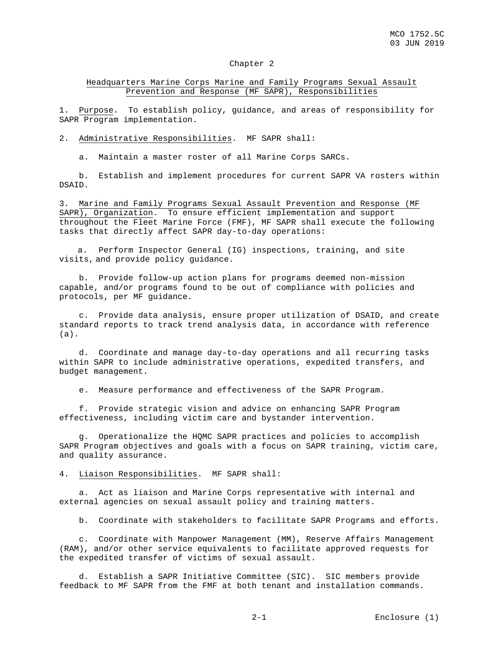#### Chapter 2

## Headquarters Marine Corps Marine and Family Programs Sexual Assault Prevention and Response (MF SAPR), Responsibilities

1. Purpose. To establish policy, guidance, and areas of responsibility for SAPR Program implementation.

#### 2. Administrative Responsibilities. MF SAPR shall:

a. Maintain a master roster of all Marine Corps SARCs.

 b. Establish and implement procedures for current SAPR VA rosters within DSAID.

3. Marine and Family Programs Sexual Assault Prevention and Response (MF SAPR), Organization. To ensure efficient implementation and support throughout the Fleet Marine Force (FMF), MF SAPR shall execute the following tasks that directly affect SAPR day-to-day operations:

a. Perform Inspector General (IG) inspections, training, and site visits, and provide policy guidance.

 b. Provide follow-up action plans for programs deemed non-mission capable, and/or programs found to be out of compliance with policies and protocols, per MF guidance.

 c. Provide data analysis, ensure proper utilization of DSAID, and create standard reports to track trend analysis data, in accordance with reference (a).

 d. Coordinate and manage day-to-day operations and all recurring tasks within SAPR to include administrative operations, expedited transfers, and budget management.

e. Measure performance and effectiveness of the SAPR Program.

 f. Provide strategic vision and advice on enhancing SAPR Program effectiveness, including victim care and bystander intervention.

 g. Operationalize the HQMC SAPR practices and policies to accomplish SAPR Program objectives and goals with a focus on SAPR training, victim care, and quality assurance.

4. Liaison Responsibilities. MF SAPR shall:

 a. Act as liaison and Marine Corps representative with internal and external agencies on sexual assault policy and training matters.

b. Coordinate with stakeholders to facilitate SAPR Programs and efforts.

 c. Coordinate with Manpower Management (MM), Reserve Affairs Management (RAM), and/or other service equivalents to facilitate approved requests for the expedited transfer of victims of sexual assault.

 d. Establish a SAPR Initiative Committee (SIC). SIC members provide feedback to MF SAPR from the FMF at both tenant and installation commands.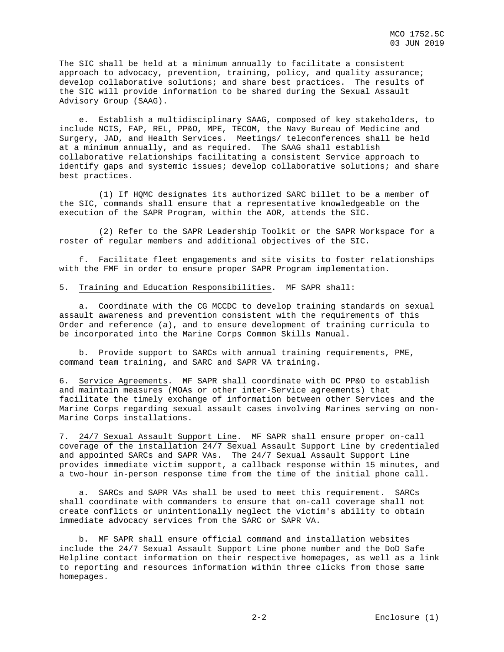The SIC shall be held at a minimum annually to facilitate a consistent approach to advocacy, prevention, training, policy, and quality assurance; develop collaborative solutions; and share best practices. The results of the SIC will provide information to be shared during the Sexual Assault Advisory Group (SAAG).

 e. Establish a multidisciplinary SAAG, composed of key stakeholders, to include NCIS, FAP, REL, PP&O, MPE, TECOM, the Navy Bureau of Medicine and Surgery, JAD, and Health Services. Meetings/ teleconferences shall be held at a minimum annually, and as required. The SAAG shall establish collaborative relationships facilitating a consistent Service approach to identify gaps and systemic issues; develop collaborative solutions; and share best practices.

 (1) If HQMC designates its authorized SARC billet to be a member of the SIC, commands shall ensure that a representative knowledgeable on the execution of the SAPR Program, within the AOR, attends the SIC.

 (2) Refer to the SAPR Leadership Toolkit or the SAPR Workspace for a roster of regular members and additional objectives of the SIC.

 f. Facilitate fleet engagements and site visits to foster relationships with the FMF in order to ensure proper SAPR Program implementation.

#### 5. Training and Education Responsibilities. MF SAPR shall:

 a. Coordinate with the CG MCCDC to develop training standards on sexual assault awareness and prevention consistent with the requirements of this Order and reference (a), and to ensure development of training curricula to be incorporated into the Marine Corps Common Skills Manual.

 b. Provide support to SARCs with annual training requirements, PME, command team training, and SARC and SAPR VA training.

6. Service Agreements. MF SAPR shall coordinate with DC PP&O to establish and maintain measures (MOAs or other inter-Service agreements) that facilitate the timely exchange of information between other Services and the Marine Corps regarding sexual assault cases involving Marines serving on non-Marine Corps installations.

7. 24/7 Sexual Assault Support Line. MF SAPR shall ensure proper on-call coverage of the installation 24/7 Sexual Assault Support Line by credentialed and appointed SARCs and SAPR VAs. The 24/7 Sexual Assault Support Line provides immediate victim support, a callback response within 15 minutes, and a two-hour in-person response time from the time of the initial phone call.

 a. SARCs and SAPR VAs shall be used to meet this requirement. SARCs shall coordinate with commanders to ensure that on-call coverage shall not create conflicts or unintentionally neglect the victim's ability to obtain immediate advocacy services from the SARC or SAPR VA.

 b. MF SAPR shall ensure official command and installation websites include the 24/7 Sexual Assault Support Line phone number and the DoD Safe Helpline contact information on their respective homepages, as well as a link to reporting and resources information within three clicks from those same homepages.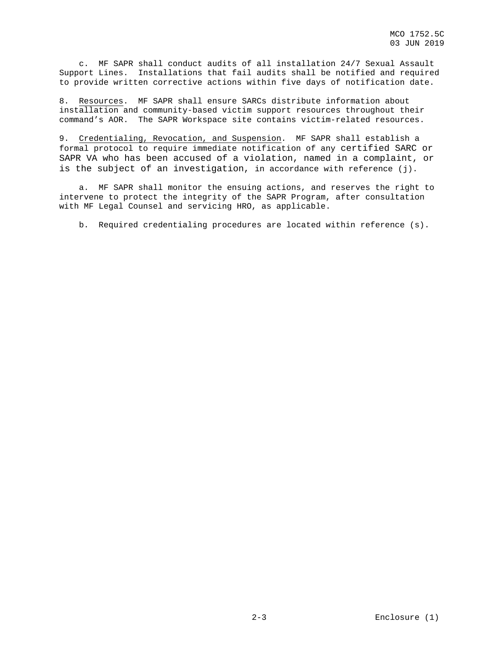c. MF SAPR shall conduct audits of all installation 24/7 Sexual Assault Support Lines. Installations that fail audits shall be notified and required to provide written corrective actions within five days of notification date.

8. Resources. MF SAPR shall ensure SARCs distribute information about installation and community-based victim support resources throughout their command's AOR. The SAPR Workspace site contains victim-related resources.

9. Credentialing, Revocation, and Suspension. MF SAPR shall establish a formal protocol to require immediate notification of any certified SARC or SAPR VA who has been accused of a violation, named in a complaint, or is the subject of an investigation, in accordance with reference (j).

 a. MF SAPR shall monitor the ensuing actions, and reserves the right to intervene to protect the integrity of the SAPR Program, after consultation with MF Legal Counsel and servicing HRO, as applicable.

b. Required credentialing procedures are located within reference (s).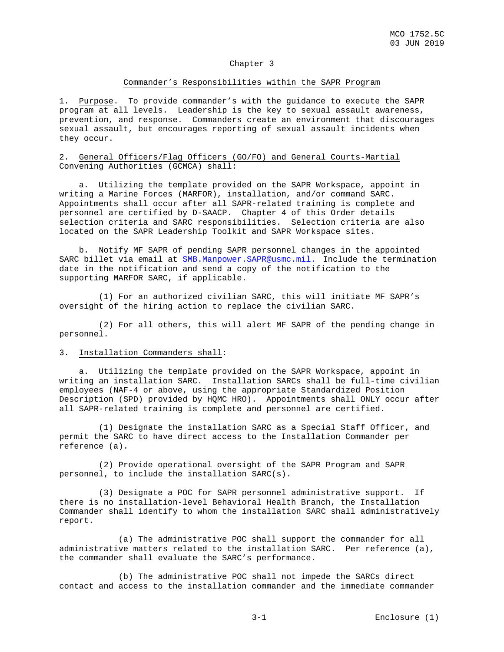### Chapter 3

#### Commander's Responsibilities within the SAPR Program

1. Purpose. To provide commander's with the guidance to execute the SAPR program at all levels. Leadership is the key to sexual assault awareness, prevention, and response. Commanders create an environment that discourages sexual assault, but encourages reporting of sexual assault incidents when they occur.

## 2. General Officers/Flag Officers (GO/FO) and General Courts-Martial Convening Authorities (GCMCA) shall:

 a. Utilizing the template provided on the SAPR Workspace, appoint in writing a Marine Forces (MARFOR), installation, and/or command SARC. Appointments shall occur after all SAPR-related training is complete and personnel are certified by D-SAACP. Chapter 4 of this Order details selection criteria and SARC responsibilities. Selection criteria are also located on the SAPR Leadership Toolkit and SAPR Workspace sites.

 b. Notify MF SAPR of pending SAPR personnel changes in the appointed SARC billet via email at [SMB.Manpower.SAPR@usmc.mil.](mailto:SMB.Manpower.SAPR@usmc.mil) Include the termination date in the notification and send a copy of the notification to the supporting MARFOR SARC, if applicable.

 (1) For an authorized civilian SARC, this will initiate MF SAPR's oversight of the hiring action to replace the civilian SARC.

 (2) For all others, this will alert MF SAPR of the pending change in personnel.

## 3. Installation Commanders shall:

 a. Utilizing the template provided on the SAPR Workspace, appoint in writing an installation SARC. Installation SARCs shall be full-time civilian employees (NAF-4 or above, using the appropriate Standardized Position Description (SPD) provided by HQMC HRO). Appointments shall ONLY occur after all SAPR-related training is complete and personnel are certified.

 (1) Designate the installation SARC as a Special Staff Officer, and permit the SARC to have direct access to the Installation Commander per reference (a).

 (2) Provide operational oversight of the SAPR Program and SAPR personnel, to include the installation SARC(s).

 (3) Designate a POC for SAPR personnel administrative support. If there is no installation-level Behavioral Health Branch, the Installation Commander shall identify to whom the installation SARC shall administratively report.

 (a) The administrative POC shall support the commander for all administrative matters related to the installation SARC. Per reference (a), the commander shall evaluate the SARC's performance.

 (b) The administrative POC shall not impede the SARCs direct contact and access to the installation commander and the immediate commander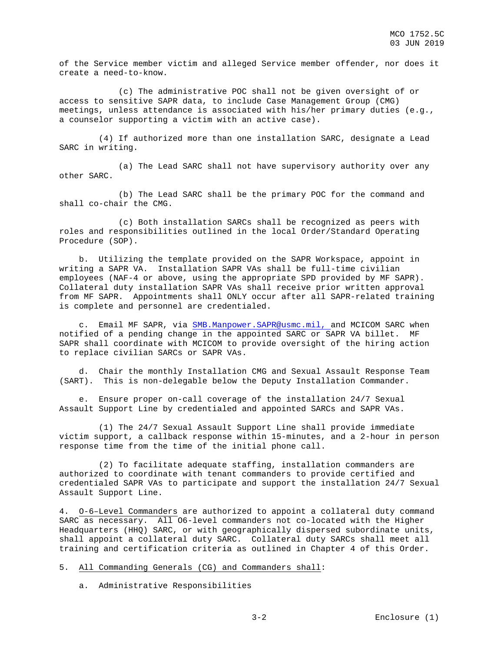of the Service member victim and alleged Service member offender, nor does it create a need-to-know.

 (c) The administrative POC shall not be given oversight of or access to sensitive SAPR data, to include Case Management Group (CMG) meetings, unless attendance is associated with his/her primary duties (e.g., a counselor supporting a victim with an active case).

 (4) If authorized more than one installation SARC, designate a Lead SARC in writing.

 (a) The Lead SARC shall not have supervisory authority over any other SARC.

 (b) The Lead SARC shall be the primary POC for the command and shall co-chair the CMG.

 (c) Both installation SARCs shall be recognized as peers with roles and responsibilities outlined in the local Order/Standard Operating Procedure (SOP).

 b. Utilizing the template provided on the SAPR Workspace, appoint in writing a SAPR VA. Installation SAPR VAs shall be full-time civilian employees (NAF-4 or above, using the appropriate SPD provided by MF SAPR). Collateral duty installation SAPR VAs shall receive prior written approval from MF SAPR. Appointments shall ONLY occur after all SAPR-related training is complete and personnel are credentialed.

 c. Email MF SAPR, via [SMB.Manpower.SAPR@usmc.mil,](mailto:SMB.Manpower.SAPR@usmc.mil) and MCICOM SARC when notified of a pending change in the appointed SARC or SAPR VA billet. MF SAPR shall coordinate with MCICOM to provide oversight of the hiring action to replace civilian SARCs or SAPR VAs.

 d. Chair the monthly Installation CMG and Sexual Assault Response Team (SART). This is non-delegable below the Deputy Installation Commander.

 e. Ensure proper on-call coverage of the installation 24/7 Sexual Assault Support Line by credentialed and appointed SARCs and SAPR VAs.

 (1) The 24/7 Sexual Assault Support Line shall provide immediate victim support, a callback response within 15-minutes, and a 2-hour in person response time from the time of the initial phone call.

 (2) To facilitate adequate staffing, installation commanders are authorized to coordinate with tenant commanders to provide certified and credentialed SAPR VAs to participate and support the installation 24/7 Sexual Assault Support Line.

4. O-6–Level Commanders are authorized to appoint a collateral duty command SARC as necessary. All O6-level commanders not co-located with the Higher Headquarters (HHQ) SARC, or with geographically dispersed subordinate units, shall appoint a collateral duty SARC. Collateral duty SARCs shall meet all training and certification criteria as outlined in Chapter 4 of this Order.

5. All Commanding Generals (CG) and Commanders shall:

a. Administrative Responsibilities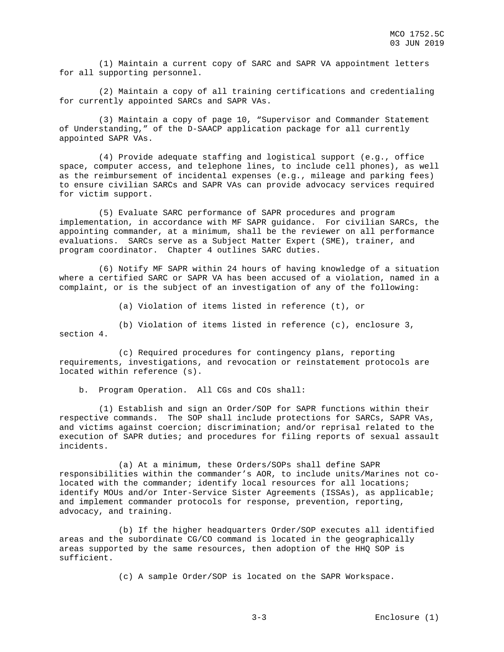(1) Maintain a current copy of SARC and SAPR VA appointment letters for all supporting personnel.

 (2) Maintain a copy of all training certifications and credentialing for currently appointed SARCs and SAPR VAs.

 (3) Maintain a copy of page 10, "Supervisor and Commander Statement of Understanding," of the D-SAACP application package for all currently appointed SAPR VAs.

 (4) Provide adequate staffing and logistical support (e.g., office space, computer access, and telephone lines, to include cell phones), as well as the reimbursement of incidental expenses (e.g., mileage and parking fees) to ensure civilian SARCs and SAPR VAs can provide advocacy services required for victim support.

 (5) Evaluate SARC performance of SAPR procedures and program implementation, in accordance with MF SAPR guidance. For civilian SARCs, the appointing commander, at a minimum, shall be the reviewer on all performance evaluations. SARCs serve as a Subject Matter Expert (SME), trainer, and program coordinator. Chapter 4 outlines SARC duties.

 (6) Notify MF SAPR within 24 hours of having knowledge of a situation where a certified SARC or SAPR VA has been accused of a violation, named in a complaint, or is the subject of an investigation of any of the following:

(a) Violation of items listed in reference (t), or

 (b) Violation of items listed in reference (c), enclosure 3, section 4.

 (c) Required procedures for contingency plans, reporting requirements, investigations, and revocation or reinstatement protocols are located within reference (s).

b. Program Operation. All CGs and COs shall:

 (1) Establish and sign an Order/SOP for SAPR functions within their respective commands. The SOP shall include protections for SARCs, SAPR VAs, and victims against coercion; discrimination; and/or reprisal related to the execution of SAPR duties; and procedures for filing reports of sexual assault incidents.

 (a) At a minimum, these Orders/SOPs shall define SAPR responsibilities within the commander's AOR, to include units/Marines not colocated with the commander; identify local resources for all locations; identify MOUs and/or Inter-Service Sister Agreements (ISSAs), as applicable; and implement commander protocols for response, prevention, reporting, advocacy, and training.

 (b) If the higher headquarters Order/SOP executes all identified areas and the subordinate CG/CO command is located in the geographically areas supported by the same resources, then adoption of the HHQ SOP is sufficient.

(c) A sample Order/SOP is located on the SAPR Workspace.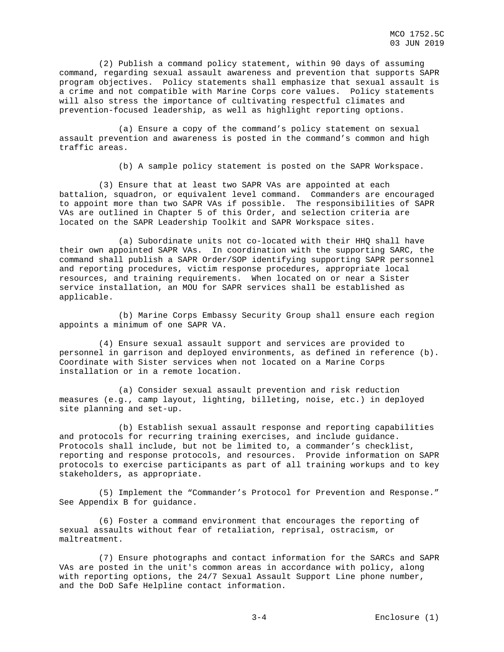(2) Publish a command policy statement, within 90 days of assuming command, regarding sexual assault awareness and prevention that supports SAPR program objectives. Policy statements shall emphasize that sexual assault is a crime and not compatible with Marine Corps core values. Policy statements will also stress the importance of cultivating respectful climates and prevention-focused leadership, as well as highlight reporting options.

 (a) Ensure a copy of the command's policy statement on sexual assault prevention and awareness is posted in the command's common and high traffic areas.

(b) A sample policy statement is posted on the SAPR Workspace.

 (3) Ensure that at least two SAPR VAs are appointed at each battalion, squadron, or equivalent level command. Commanders are encouraged to appoint more than two SAPR VAs if possible. The responsibilities of SAPR VAs are outlined in Chapter 5 of this Order, and selection criteria are located on the SAPR Leadership Toolkit and SAPR Workspace sites.

 (a) Subordinate units not co-located with their HHQ shall have their own appointed SAPR VAs. In coordination with the supporting SARC, the command shall publish a SAPR Order/SOP identifying supporting SAPR personnel and reporting procedures, victim response procedures, appropriate local resources, and training requirements. When located on or near a Sister service installation, an MOU for SAPR services shall be established as applicable.

 (b) Marine Corps Embassy Security Group shall ensure each region appoints a minimum of one SAPR VA.

 (4) Ensure sexual assault support and services are provided to personnel in garrison and deployed environments, as defined in reference (b). Coordinate with Sister services when not located on a Marine Corps installation or in a remote location.

 (a) Consider sexual assault prevention and risk reduction measures (e.g., camp layout, lighting, billeting, noise, etc.) in deployed site planning and set-up.

 (b) Establish sexual assault response and reporting capabilities and protocols for recurring training exercises, and include guidance. Protocols shall include, but not be limited to, a commander's checklist, reporting and response protocols, and resources. Provide information on SAPR protocols to exercise participants as part of all training workups and to key stakeholders, as appropriate.

 (5) Implement the "Commander's Protocol for Prevention and Response." See Appendix B for guidance.

 (6) Foster a command environment that encourages the reporting of sexual assaults without fear of retaliation, reprisal, ostracism, or maltreatment.

 (7) Ensure photographs and contact information for the SARCs and SAPR VAs are posted in the unit's common areas in accordance with policy, along with reporting options, the 24/7 Sexual Assault Support Line phone number, and the DoD Safe Helpline contact information.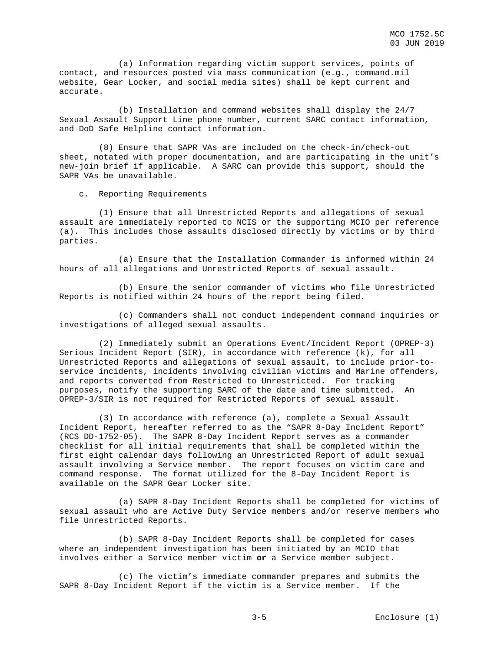(a) Information regarding victim support services, points of contact, and resources posted via mass communication (e.g., command.mil website, Gear Locker, and social media sites) shall be kept current and accurate.

 (b) Installation and command websites shall display the 24/7 Sexual Assault Support Line phone number, current SARC contact information, and DoD Safe Helpline contact information.

 (8) Ensure that SAPR VAs are included on the check-in/check-out sheet, notated with proper documentation, and are participating in the unit's new-join brief if applicable. A SARC can provide this support, should the SAPR VAs be unavailable.

c. Reporting Requirements

 (1) Ensure that all Unrestricted Reports and allegations of sexual assault are immediately reported to NCIS or the supporting MCIO per reference (a). This includes those assaults disclosed directly by victims or by third parties.

 (a) Ensure that the Installation Commander is informed within 24 hours of all allegations and Unrestricted Reports of sexual assault.

 (b) Ensure the senior commander of victims who file Unrestricted Reports is notified within 24 hours of the report being filed.

 (c) Commanders shall not conduct independent command inquiries or investigations of alleged sexual assaults.

 (2) Immediately submit an Operations Event/Incident Report (OPREP-3) Serious Incident Report (SIR), in accordance with reference (k), for all Unrestricted Reports and allegations of sexual assault, to include prior-toservice incidents, incidents involving civilian victims and Marine offenders, and reports converted from Restricted to Unrestricted. For tracking purposes, notify the supporting SARC of the date and time submitted. An OPREP-3/SIR is not required for Restricted Reports of sexual assault.

 (3) In accordance with reference (a), complete a Sexual Assault Incident Report, hereafter referred to as the "SAPR 8-Day Incident Report" (RCS DD-1752-05). The SAPR 8-Day Incident Report serves as a commander checklist for all initial requirements that shall be completed within the first eight calendar days following an Unrestricted Report of adult sexual assault involving a Service member. The report focuses on victim care and command response. The format utilized for the 8-Day Incident Report is available on the SAPR Gear Locker site.

 (a) SAPR 8-Day Incident Reports shall be completed for victims of sexual assault who are Active Duty Service members and/or reserve members who file Unrestricted Reports.

 (b) SAPR 8-Day Incident Reports shall be completed for cases where an independent investigation has been initiated by an MCIO that involves either a Service member victim **or** a Service member subject.

 (c) The victim's immediate commander prepares and submits the SAPR 8-Day Incident Report if the victim is a Service member. If the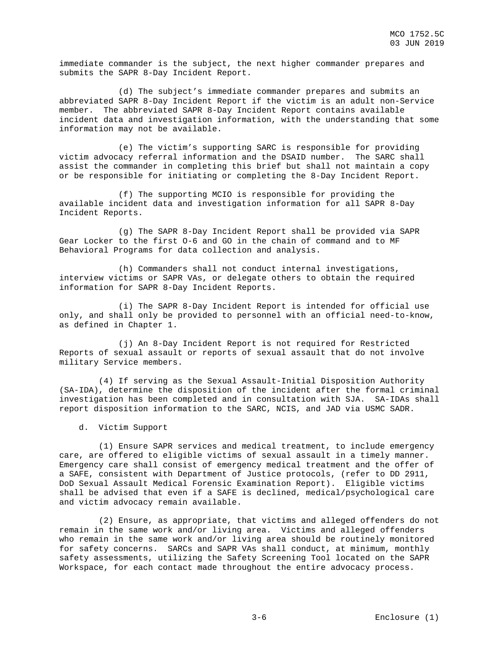immediate commander is the subject, the next higher commander prepares and submits the SAPR 8-Day Incident Report.

 (d) The subject's immediate commander prepares and submits an abbreviated SAPR 8-Day Incident Report if the victim is an adult non-Service member. The abbreviated SAPR 8-Day Incident Report contains available incident data and investigation information, with the understanding that some information may not be available.

 (e) The victim's supporting SARC is responsible for providing victim advocacy referral information and the DSAID number. The SARC shall assist the commander in completing this brief but shall not maintain a copy or be responsible for initiating or completing the 8-Day Incident Report.

 (f) The supporting MCIO is responsible for providing the available incident data and investigation information for all SAPR 8-Day Incident Reports.

 (g) The SAPR 8-Day Incident Report shall be provided via SAPR Gear Locker to the first O-6 and GO in the chain of command and to MF Behavioral Programs for data collection and analysis.

 (h) Commanders shall not conduct internal investigations, interview victims or SAPR VAs, or delegate others to obtain the required information for SAPR 8-Day Incident Reports.

 (i) The SAPR 8-Day Incident Report is intended for official use only, and shall only be provided to personnel with an official need-to-know, as defined in Chapter 1.

 (j) An 8-Day Incident Report is not required for Restricted Reports of sexual assault or reports of sexual assault that do not involve military Service members.

 (4) If serving as the Sexual Assault-Initial Disposition Authority (SA-IDA), determine the disposition of the incident after the formal criminal investigation has been completed and in consultation with SJA. SA-IDAs shall report disposition information to the SARC, NCIS, and JAD via USMC SADR.

d. Victim Support

 (1) Ensure SAPR services and medical treatment, to include emergency care, are offered to eligible victims of sexual assault in a timely manner. Emergency care shall consist of emergency medical treatment and the offer of a SAFE, consistent with Department of Justice protocols, (refer to DD 2911, DoD Sexual Assault Medical Forensic Examination Report). Eligible victims shall be advised that even if a SAFE is declined, medical/psychological care and victim advocacy remain available.

 (2) Ensure, as appropriate, that victims and alleged offenders do not remain in the same work and/or living area. Victims and alleged offenders who remain in the same work and/or living area should be routinely monitored for safety concerns. SARCs and SAPR VAs shall conduct, at minimum, monthly safety assessments, utilizing the Safety Screening Tool located on the SAPR Workspace, for each contact made throughout the entire advocacy process.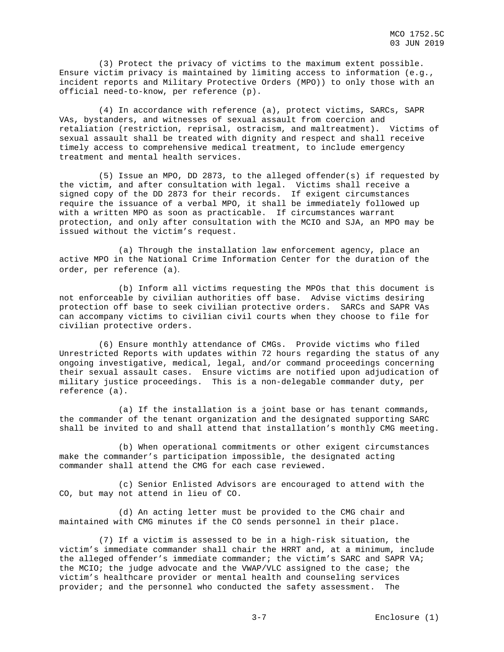(3) Protect the privacy of victims to the maximum extent possible. Ensure victim privacy is maintained by limiting access to information (e.g., incident reports and Military Protective Orders (MPO)) to only those with an official need-to-know, per reference (p).

 (4) In accordance with reference (a), protect victims, SARCs, SAPR VAs, bystanders, and witnesses of sexual assault from coercion and retaliation (restriction, reprisal, ostracism, and maltreatment). Victims of sexual assault shall be treated with dignity and respect and shall receive timely access to comprehensive medical treatment, to include emergency treatment and mental health services.

 (5) Issue an MPO, DD 2873, to the alleged offender(s) if requested by the victim, and after consultation with legal. Victims shall receive a signed copy of the DD 2873 for their records. If exigent circumstances require the issuance of a verbal MPO, it shall be immediately followed up with a written MPO as soon as practicable. If circumstances warrant protection, and only after consultation with the MCIO and SJA, an MPO may be issued without the victim's request.

 (a) Through the installation law enforcement agency, place an active MPO in the National Crime Information Center for the duration of the order, per reference (a).

 (b) Inform all victims requesting the MPOs that this document is not enforceable by civilian authorities off base. Advise victims desiring protection off base to seek civilian protective orders. SARCs and SAPR VAs can accompany victims to civilian civil courts when they choose to file for civilian protective orders.

 (6) Ensure monthly attendance of CMGs. Provide victims who filed Unrestricted Reports with updates within 72 hours regarding the status of any ongoing investigative, medical, legal, and/or command proceedings concerning their sexual assault cases. Ensure victims are notified upon adjudication of military justice proceedings. This is a non-delegable commander duty, per reference (a).

 (a) If the installation is a joint base or has tenant commands, the commander of the tenant organization and the designated supporting SARC shall be invited to and shall attend that installation's monthly CMG meeting.

 (b) When operational commitments or other exigent circumstances make the commander's participation impossible, the designated acting commander shall attend the CMG for each case reviewed.

 (c) Senior Enlisted Advisors are encouraged to attend with the CO, but may not attend in lieu of CO.

 (d) An acting letter must be provided to the CMG chair and maintained with CMG minutes if the CO sends personnel in their place.

 (7) If a victim is assessed to be in a high-risk situation, the victim's immediate commander shall chair the HRRT and, at a minimum, include the alleged offender's immediate commander; the victim's SARC and SAPR VA; the MCIO; the judge advocate and the VWAP/VLC assigned to the case; the victim's healthcare provider or mental health and counseling services provider; and the personnel who conducted the safety assessment. The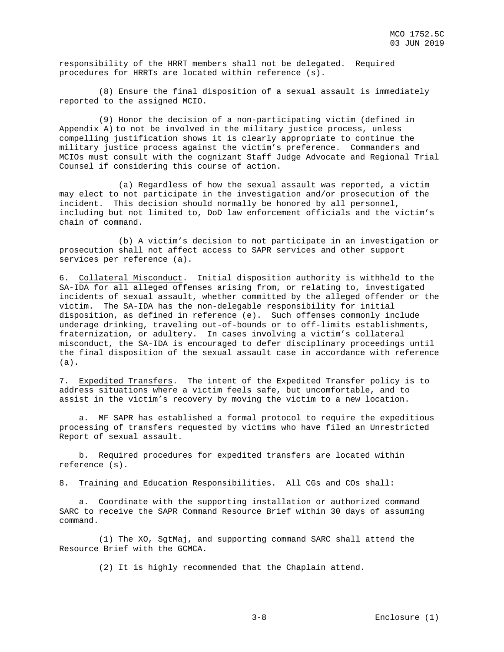responsibility of the HRRT members shall not be delegated. Required procedures for HRRTs are located within reference (s).

 (8) Ensure the final disposition of a sexual assault is immediately reported to the assigned MCIO.

 (9) Honor the decision of a non-participating victim (defined in Appendix A) to not be involved in the military justice process, unless compelling justification shows it is clearly appropriate to continue the military justice process against the victim's preference. Commanders and MCIOs must consult with the cognizant Staff Judge Advocate and Regional Trial Counsel if considering this course of action.

 (a) Regardless of how the sexual assault was reported, a victim may elect to not participate in the investigation and/or prosecution of the incident. This decision should normally be honored by all personnel, including but not limited to, DoD law enforcement officials and the victim's chain of command.

 (b) A victim's decision to not participate in an investigation or prosecution shall not affect access to SAPR services and other support services per reference (a).

6. Collateral Misconduct. Initial disposition authority is withheld to the SA-IDA for all alleged offenses arising from, or relating to, investigated incidents of sexual assault, whether committed by the alleged offender or the victim. The SA-IDA has the non-delegable responsibility for initial disposition, as defined in reference (e). Such offenses commonly include underage drinking, traveling out-of-bounds or to off-limits establishments, fraternization, or adultery. In cases involving a victim's collateral misconduct, the SA-IDA is encouraged to defer disciplinary proceedings until the final disposition of the sexual assault case in accordance with reference (a).

7. Expedited Transfers. The intent of the Expedited Transfer policy is to address situations where a victim feels safe, but uncomfortable, and to assist in the victim's recovery by moving the victim to a new location.

 a. MF SAPR has established a formal protocol to require the expeditious processing of transfers requested by victims who have filed an Unrestricted Report of sexual assault.

 b. Required procedures for expedited transfers are located within reference (s).

8. Training and Education Responsibilities. All CGs and COs shall:

 a. Coordinate with the supporting installation or authorized command SARC to receive the SAPR Command Resource Brief within 30 days of assuming command.

 (1) The XO, SgtMaj, and supporting command SARC shall attend the Resource Brief with the GCMCA.

(2) It is highly recommended that the Chaplain attend.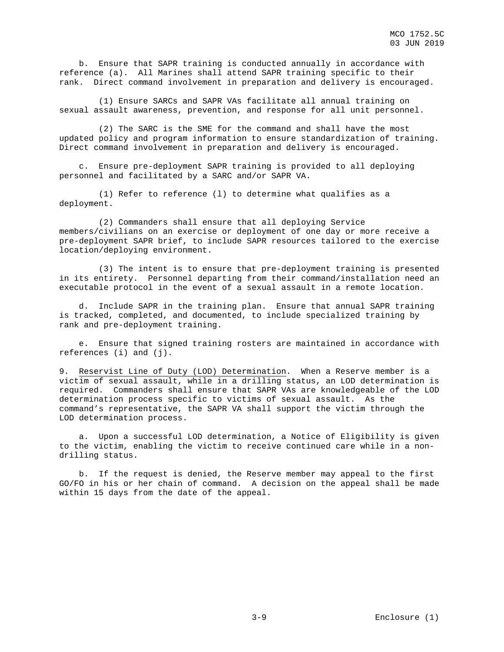b. Ensure that SAPR training is conducted annually in accordance with reference (a). All Marines shall attend SAPR training specific to their rank. Direct command involvement in preparation and delivery is encouraged.

 (1) Ensure SARCs and SAPR VAs facilitate all annual training on sexual assault awareness, prevention, and response for all unit personnel.

 (2) The SARC is the SME for the command and shall have the most updated policy and program information to ensure standardization of training. Direct command involvement in preparation and delivery is encouraged.

 c. Ensure pre-deployment SAPR training is provided to all deploying personnel and facilitated by a SARC and/or SAPR VA.

 (1) Refer to reference (l) to determine what qualifies as a deployment.

 (2) Commanders shall ensure that all deploying Service members/civilians on an exercise or deployment of one day or more receive a pre-deployment SAPR brief, to include SAPR resources tailored to the exercise location/deploying environment.

 (3) The intent is to ensure that pre-deployment training is presented in its entirety. Personnel departing from their command/installation need an executable protocol in the event of a sexual assault in a remote location.

 d. Include SAPR in the training plan. Ensure that annual SAPR training is tracked, completed, and documented, to include specialized training by rank and pre-deployment training.

 e. Ensure that signed training rosters are maintained in accordance with references (i) and (j).

9. Reservist Line of Duty (LOD) Determination. When a Reserve member is a victim of sexual assault, while in a drilling status, an LOD determination is required. Commanders shall ensure that SAPR VAs are knowledgeable of the LOD determination process specific to victims of sexual assault. As the command's representative, the SAPR VA shall support the victim through the LOD determination process.

 a. Upon a successful LOD determination, a Notice of Eligibility is given to the victim, enabling the victim to receive continued care while in a nondrilling status.

 b. If the request is denied, the Reserve member may appeal to the first GO/FO in his or her chain of command. A decision on the appeal shall be made within 15 days from the date of the appeal.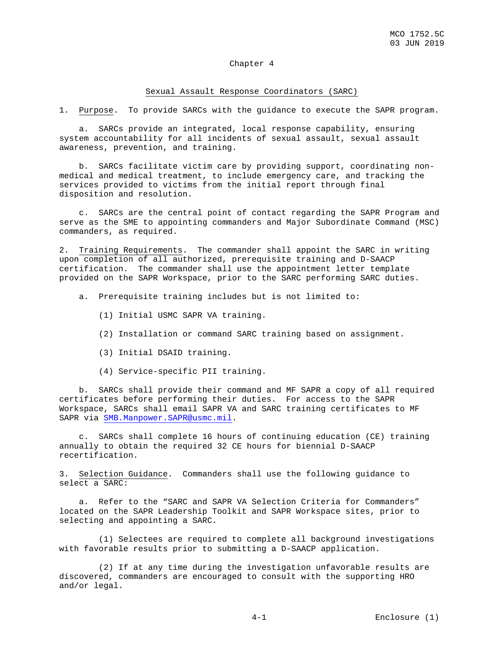## Chapter 4

#### Sexual Assault Response Coordinators (SARC)

1. Purpose. To provide SARCs with the guidance to execute the SAPR program.

 a. SARCs provide an integrated, local response capability, ensuring system accountability for all incidents of sexual assault, sexual assault awareness, prevention, and training.

 b. SARCs facilitate victim care by providing support, coordinating nonmedical and medical treatment, to include emergency care, and tracking the services provided to victims from the initial report through final disposition and resolution.

 c. SARCs are the central point of contact regarding the SAPR Program and serve as the SME to appointing commanders and Major Subordinate Command (MSC) commanders, as required.

2. Training Requirements. The commander shall appoint the SARC in writing upon completion of all authorized, prerequisite training and D-SAACP certification. The commander shall use the appointment letter template provided on the SAPR Workspace, prior to the SARC performing SARC duties.

- a. Prerequisite training includes but is not limited to:
	- (1) Initial USMC SAPR VA training.
	- (2) Installation or command SARC training based on assignment.
	- (3) Initial DSAID training.
	- (4) Service-specific PII training.

 b. SARCs shall provide their command and MF SAPR a copy of all required certificates before performing their duties. For access to the SAPR Workspace, SARCs shall email SAPR VA and SARC training certificates to MF SAPR via [SMB.Manpower.SAPR@usmc.mil.](mailto:SMB.Manpower.SAPR@usmc.mil)

 c. SARCs shall complete 16 hours of continuing education (CE) training annually to obtain the required 32 CE hours for biennial D-SAACP recertification.

3. Selection Guidance. Commanders shall use the following guidance to select a SARC:

 a. Refer to the "SARC and SAPR VA Selection Criteria for Commanders" located on the SAPR Leadership Toolkit and SAPR Workspace sites, prior to selecting and appointing a SARC.

 (1) Selectees are required to complete all background investigations with favorable results prior to submitting a D-SAACP application.

 (2) If at any time during the investigation unfavorable results are discovered, commanders are encouraged to consult with the supporting HRO and/or legal.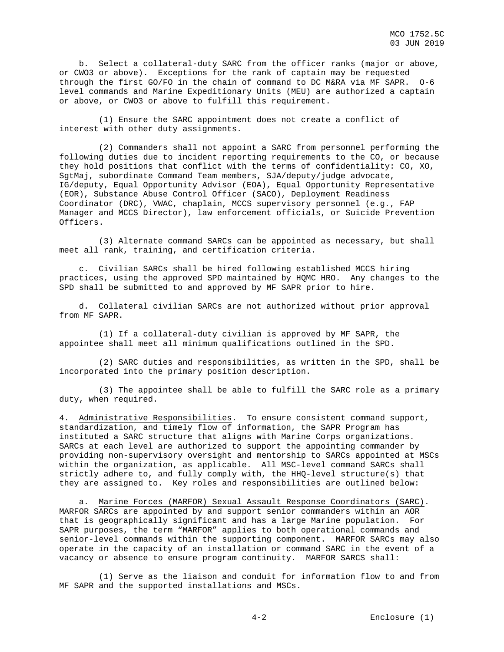b. Select a collateral-duty SARC from the officer ranks (major or above, or CWO3 or above). Exceptions for the rank of captain may be requested through the first GO/FO in the chain of command to DC M&RA via MF SAPR. O-6 level commands and Marine Expeditionary Units (MEU) are authorized a captain or above, or CWO3 or above to fulfill this requirement.

 (1) Ensure the SARC appointment does not create a conflict of interest with other duty assignments.

 (2) Commanders shall not appoint a SARC from personnel performing the following duties due to incident reporting requirements to the CO, or because they hold positions that conflict with the terms of confidentiality: CO, XO, SgtMaj, subordinate Command Team members, SJA/deputy/judge advocate, IG/deputy, Equal Opportunity Advisor (EOA), Equal Opportunity Representative (EOR), Substance Abuse Control Officer (SACO), Deployment Readiness Coordinator (DRC), VWAC, chaplain, MCCS supervisory personnel (e.g., FAP Manager and MCCS Director), law enforcement officials, or Suicide Prevention Officers.

 (3) Alternate command SARCs can be appointed as necessary, but shall meet all rank, training, and certification criteria.

 c. Civilian SARCs shall be hired following established MCCS hiring practices, using the approved SPD maintained by HQMC HRO. Any changes to the SPD shall be submitted to and approved by MF SAPR prior to hire.

 d. Collateral civilian SARCs are not authorized without prior approval from MF SAPR.

 (1) If a collateral-duty civilian is approved by MF SAPR, the appointee shall meet all minimum qualifications outlined in the SPD.

 (2) SARC duties and responsibilities, as written in the SPD, shall be incorporated into the primary position description.

 (3) The appointee shall be able to fulfill the SARC role as a primary duty, when required.

4. Administrative Responsibilities. To ensure consistent command support, standardization, and timely flow of information, the SAPR Program has instituted a SARC structure that aligns with Marine Corps organizations. SARCs at each level are authorized to support the appointing commander by providing non-supervisory oversight and mentorship to SARCs appointed at MSCs within the organization, as applicable. All MSC-level command SARCs shall strictly adhere to, and fully comply with, the HHQ-level structure(s) that they are assigned to. Key roles and responsibilities are outlined below:

 a. Marine Forces (MARFOR) Sexual Assault Response Coordinators (SARC). MARFOR SARCs are appointed by and support senior commanders within an AOR that is geographically significant and has a large Marine population. For SAPR purposes, the term "MARFOR" applies to both operational commands and senior-level commands within the supporting component. MARFOR SARCs may also operate in the capacity of an installation or command SARC in the event of a vacancy or absence to ensure program continuity. MARFOR SARCS shall:

 (1) Serve as the liaison and conduit for information flow to and from MF SAPR and the supported installations and MSCs.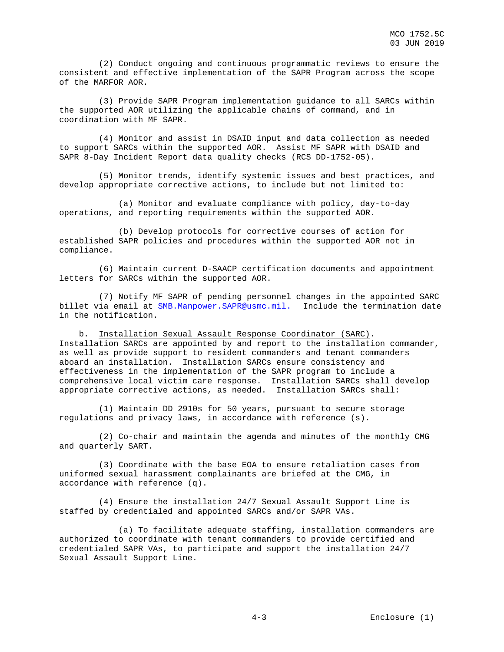(2) Conduct ongoing and continuous programmatic reviews to ensure the consistent and effective implementation of the SAPR Program across the scope of the MARFOR AOR.

 (3) Provide SAPR Program implementation guidance to all SARCs within the supported AOR utilizing the applicable chains of command, and in coordination with MF SAPR.

 (4) Monitor and assist in DSAID input and data collection as needed to support SARCs within the supported AOR. Assist MF SAPR with DSAID and SAPR 8-Day Incident Report data quality checks (RCS DD-1752-05).

 (5) Monitor trends, identify systemic issues and best practices, and develop appropriate corrective actions, to include but not limited to:

 (a) Monitor and evaluate compliance with policy, day-to-day operations, and reporting requirements within the supported AOR.

 (b) Develop protocols for corrective courses of action for established SAPR policies and procedures within the supported AOR not in compliance.

 (6) Maintain current D-SAACP certification documents and appointment letters for SARCs within the supported AOR.

 (7) Notify MF SAPR of pending personnel changes in the appointed SARC billet via email at [SMB.Manpower.SAPR@usmc.mil.](mailto:SMB.Manpower.SAPR@usmc.mil) Include the termination date in the notification.

 b. Installation Sexual Assault Response Coordinator (SARC). Installation SARCs are appointed by and report to the installation commander, as well as provide support to resident commanders and tenant commanders aboard an installation. Installation SARCs ensure consistency and effectiveness in the implementation of the SAPR program to include a comprehensive local victim care response. Installation SARCs shall develop appropriate corrective actions, as needed. Installation SARCs shall:

 (1) Maintain DD 2910s for 50 years, pursuant to secure storage regulations and privacy laws, in accordance with reference (s).

 (2) Co-chair and maintain the agenda and minutes of the monthly CMG and quarterly SART.

 (3) Coordinate with the base EOA to ensure retaliation cases from uniformed sexual harassment complainants are briefed at the CMG, in accordance with reference (q).

 (4) Ensure the installation 24/7 Sexual Assault Support Line is staffed by credentialed and appointed SARCs and/or SAPR VAs.

 (a) To facilitate adequate staffing, installation commanders are authorized to coordinate with tenant commanders to provide certified and credentialed SAPR VAs, to participate and support the installation 24/7 Sexual Assault Support Line.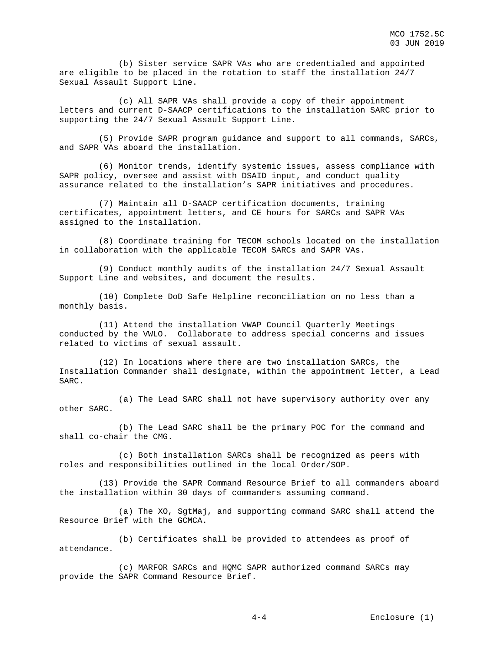(b) Sister service SAPR VAs who are credentialed and appointed are eligible to be placed in the rotation to staff the installation 24/7 Sexual Assault Support Line.

 (c) All SAPR VAs shall provide a copy of their appointment letters and current D-SAACP certifications to the installation SARC prior to supporting the 24/7 Sexual Assault Support Line.

 (5) Provide SAPR program guidance and support to all commands, SARCs, and SAPR VAs aboard the installation.

 (6) Monitor trends, identify systemic issues, assess compliance with SAPR policy, oversee and assist with DSAID input, and conduct quality assurance related to the installation's SAPR initiatives and procedures.

 (7) Maintain all D-SAACP certification documents, training certificates, appointment letters, and CE hours for SARCs and SAPR VAs assigned to the installation.

 (8) Coordinate training for TECOM schools located on the installation in collaboration with the applicable TECOM SARCs and SAPR VAs.

 (9) Conduct monthly audits of the installation 24/7 Sexual Assault Support Line and websites, and document the results.

 (10) Complete DoD Safe Helpline reconciliation on no less than a monthly basis.

 (11) Attend the installation VWAP Council Quarterly Meetings conducted by the VWLO. Collaborate to address special concerns and issues related to victims of sexual assault.

 (12) In locations where there are two installation SARCs, the Installation Commander shall designate, within the appointment letter, a Lead SARC.

 (a) The Lead SARC shall not have supervisory authority over any other SARC.

 (b) The Lead SARC shall be the primary POC for the command and shall co-chair the CMG.

 (c) Both installation SARCs shall be recognized as peers with roles and responsibilities outlined in the local Order/SOP.

 (13) Provide the SAPR Command Resource Brief to all commanders aboard the installation within 30 days of commanders assuming command.

 (a) The XO, SgtMaj, and supporting command SARC shall attend the Resource Brief with the GCMCA.

 (b) Certificates shall be provided to attendees as proof of attendance.

 (c) MARFOR SARCs and HQMC SAPR authorized command SARCs may provide the SAPR Command Resource Brief.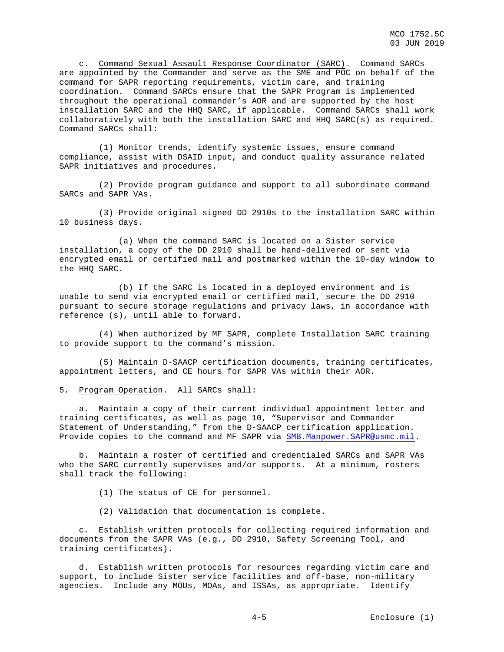c. Command Sexual Assault Response Coordinator (SARC). Command SARCs are appointed by the Commander and serve as the SME and POC on behalf of the command for SAPR reporting requirements, victim care, and training coordination. Command SARCs ensure that the SAPR Program is implemented throughout the operational commander's AOR and are supported by the host installation SARC and the HHQ SARC, if applicable. Command SARCs shall work collaboratively with both the installation SARC and HHQ SARC(s) as required. Command SARCs shall:

 (1) Monitor trends, identify systemic issues, ensure command compliance, assist with DSAID input, and conduct quality assurance related SAPR initiatives and procedures.

 (2) Provide program guidance and support to all subordinate command SARCs and SAPR VAs.

 (3) Provide original signed DD 2910s to the installation SARC within 10 business days.

 (a) When the command SARC is located on a Sister service installation, a copy of the DD 2910 shall be hand-delivered or sent via encrypted email or certified mail and postmarked within the 10-day window to the HHQ SARC.

 (b) If the SARC is located in a deployed environment and is unable to send via encrypted email or certified mail, secure the DD 2910 pursuant to secure storage regulations and privacy laws, in accordance with reference (s), until able to forward.

 (4) When authorized by MF SAPR, complete Installation SARC training to provide support to the command's mission.

 (5) Maintain D-SAACP certification documents, training certificates, appointment letters, and CE hours for SAPR VAs within their AOR.

5. Program Operation. All SARCs shall:

 a. Maintain a copy of their current individual appointment letter and training certificates, as well as page 10, "Supervisor and Commander Statement of Understanding," from the D-SAACP certification application. Provide copies to the command and MF SAPR via [SMB.Manpower.SAPR@usmc.mil.](mailto:SMB.Manpower.SAPR@usmc.mil)

 b. Maintain a roster of certified and credentialed SARCs and SAPR VAs who the SARC currently supervises and/or supports. At a minimum, rosters shall track the following:

(1) The status of CE for personnel.

(2) Validation that documentation is complete.

 c. Establish written protocols for collecting required information and documents from the SAPR VAs (e.g., DD 2910, Safety Screening Tool, and training certificates).

 d. Establish written protocols for resources regarding victim care and support, to include Sister service facilities and off-base, non-military agencies. Include any MOUs, MOAs, and ISSAs, as appropriate. Identify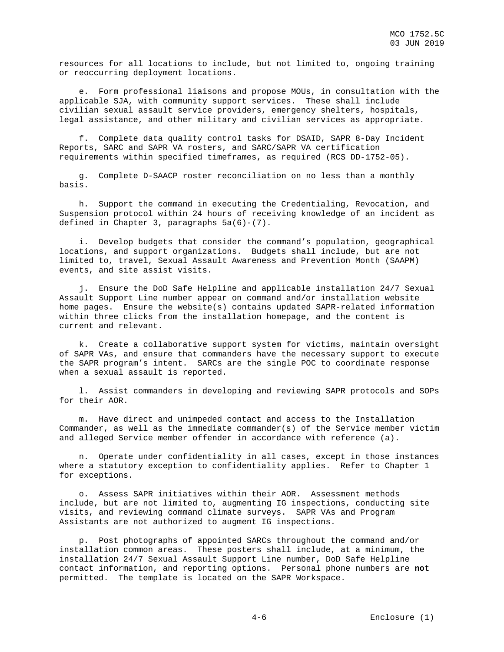resources for all locations to include, but not limited to, ongoing training or reoccurring deployment locations.

 e. Form professional liaisons and propose MOUs, in consultation with the applicable SJA, with community support services. These shall include civilian sexual assault service providers, emergency shelters, hospitals, legal assistance, and other military and civilian services as appropriate.

 f. Complete data quality control tasks for DSAID, SAPR 8-Day Incident Reports, SARC and SAPR VA rosters, and SARC/SAPR VA certification requirements within specified timeframes, as required (RCS DD-1752-05).

 g. Complete D-SAACP roster reconciliation on no less than a monthly basis.

 h. Support the command in executing the Credentialing, Revocation, and Suspension protocol within 24 hours of receiving knowledge of an incident as defined in Chapter 3, paragraphs  $5a(6)-(7)$ .

 i. Develop budgets that consider the command's population, geographical locations, and support organizations. Budgets shall include, but are not limited to, travel, Sexual Assault Awareness and Prevention Month (SAAPM) events, and site assist visits.

 j. Ensure the DoD Safe Helpline and applicable installation 24/7 Sexual Assault Support Line number appear on command and/or installation website home pages. Ensure the website(s) contains updated SAPR-related information within three clicks from the installation homepage, and the content is current and relevant.

 k. Create a collaborative support system for victims, maintain oversight of SAPR VAs, and ensure that commanders have the necessary support to execute the SAPR program's intent. SARCs are the single POC to coordinate response when a sexual assault is reported.

 l. Assist commanders in developing and reviewing SAPR protocols and SOPs for their AOR.

 m. Have direct and unimpeded contact and access to the Installation Commander, as well as the immediate commander(s) of the Service member victim and alleged Service member offender in accordance with reference (a).

 n. Operate under confidentiality in all cases, except in those instances where a statutory exception to confidentiality applies. Refer to Chapter 1 for exceptions.

 o. Assess SAPR initiatives within their AOR. Assessment methods include, but are not limited to, augmenting IG inspections, conducting site visits, and reviewing command climate surveys. SAPR VAs and Program Assistants are not authorized to augment IG inspections.

 p. Post photographs of appointed SARCs throughout the command and/or installation common areas. These posters shall include, at a minimum, the installation 24/7 Sexual Assault Support Line number, DoD Safe Helpline contact information, and reporting options. Personal phone numbers are **not** permitted. The template is located on the SAPR Workspace.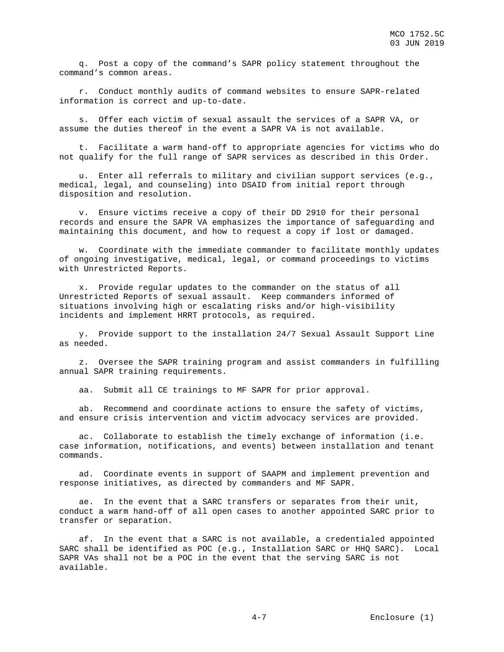q. Post a copy of the command's SAPR policy statement throughout the command's common areas.

 r. Conduct monthly audits of command websites to ensure SAPR-related information is correct and up-to-date.

 s. Offer each victim of sexual assault the services of a SAPR VA, or assume the duties thereof in the event a SAPR VA is not available.

 t. Facilitate a warm hand-off to appropriate agencies for victims who do not qualify for the full range of SAPR services as described in this Order.

 u. Enter all referrals to military and civilian support services (e.g., medical, legal, and counseling) into DSAID from initial report through disposition and resolution.

 v. Ensure victims receive a copy of their DD 2910 for their personal records and ensure the SAPR VA emphasizes the importance of safeguarding and maintaining this document, and how to request a copy if lost or damaged.

 w. Coordinate with the immediate commander to facilitate monthly updates of ongoing investigative, medical, legal, or command proceedings to victims with Unrestricted Reports.

 x. Provide regular updates to the commander on the status of all Unrestricted Reports of sexual assault. Keep commanders informed of situations involving high or escalating risks and/or high-visibility incidents and implement HRRT protocols, as required.

 y. Provide support to the installation 24/7 Sexual Assault Support Line as needed.

 z. Oversee the SAPR training program and assist commanders in fulfilling annual SAPR training requirements.

aa. Submit all CE trainings to MF SAPR for prior approval.

 ab. Recommend and coordinate actions to ensure the safety of victims, and ensure crisis intervention and victim advocacy services are provided.

 ac. Collaborate to establish the timely exchange of information (i.e. case information, notifications, and events) between installation and tenant commands.

 ad. Coordinate events in support of SAAPM and implement prevention and response initiatives, as directed by commanders and MF SAPR.

 ae. In the event that a SARC transfers or separates from their unit, conduct a warm hand-off of all open cases to another appointed SARC prior to transfer or separation.

 af. In the event that a SARC is not available, a credentialed appointed SARC shall be identified as POC (e.g., Installation SARC or HHQ SARC). Local SAPR VAs shall not be a POC in the event that the serving SARC is not available.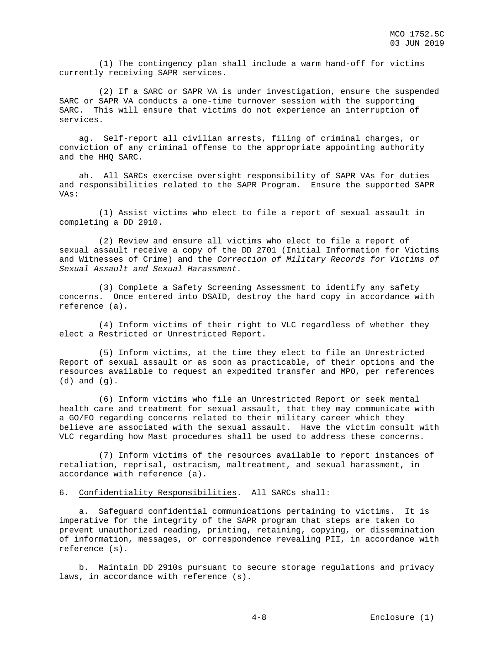(1) The contingency plan shall include a warm hand-off for victims currently receiving SAPR services.

 (2) If a SARC or SAPR VA is under investigation, ensure the suspended SARC or SAPR VA conducts a one-time turnover session with the supporting SARC. This will ensure that victims do not experience an interruption of services.

 ag. Self-report all civilian arrests, filing of criminal charges, or conviction of any criminal offense to the appropriate appointing authority and the HHQ SARC.

 ah. All SARCs exercise oversight responsibility of SAPR VAs for duties and responsibilities related to the SAPR Program. Ensure the supported SAPR  $V\Delta \approx$ :

 (1) Assist victims who elect to file a report of sexual assault in completing a DD 2910.

 (2) Review and ensure all victims who elect to file a report of sexual assault receive a copy of the DD 2701 (Initial Information for Victims and Witnesses of Crime) and the *Correction of Military Records for Victims of Sexual Assault and Sexual Harassment.*

 (3) Complete a Safety Screening Assessment to identify any safety concerns. Once entered into DSAID, destroy the hard copy in accordance with reference (a).

 (4) Inform victims of their right to VLC regardless of whether they elect a Restricted or Unrestricted Report.

 (5) Inform victims, at the time they elect to file an Unrestricted Report of sexual assault or as soon as practicable, of their options and the resources available to request an expedited transfer and MPO, per references (d) and (g).

 (6) Inform victims who file an Unrestricted Report or seek mental health care and treatment for sexual assault, that they may communicate with a GO/FO regarding concerns related to their military career which they believe are associated with the sexual assault. Have the victim consult with VLC regarding how Mast procedures shall be used to address these concerns.

 (7) Inform victims of the resources available to report instances of retaliation, reprisal, ostracism, maltreatment, and sexual harassment, in accordance with reference (a).

6. Confidentiality Responsibilities. All SARCs shall:

 a. Safeguard confidential communications pertaining to victims. It is imperative for the integrity of the SAPR program that steps are taken to prevent unauthorized reading, printing, retaining, copying, or dissemination of information, messages, or correspondence revealing PII, in accordance with reference (s).

 b. Maintain DD 2910s pursuant to secure storage regulations and privacy laws, in accordance with reference (s).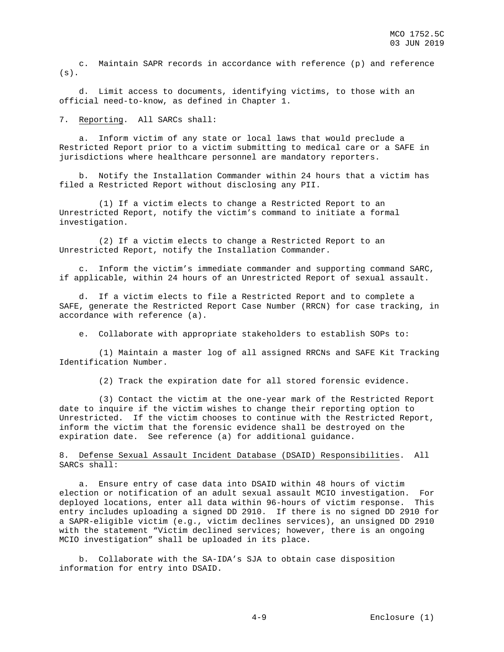c. Maintain SAPR records in accordance with reference (p) and reference  $(s)$ .

 d. Limit access to documents, identifying victims, to those with an official need-to-know, as defined in Chapter 1.

7. Reporting. All SARCs shall:

 a. Inform victim of any state or local laws that would preclude a Restricted Report prior to a victim submitting to medical care or a SAFE in jurisdictions where healthcare personnel are mandatory reporters.

 b. Notify the Installation Commander within 24 hours that a victim has filed a Restricted Report without disclosing any PII.

 (1) If a victim elects to change a Restricted Report to an Unrestricted Report, notify the victim's command to initiate a formal investigation.

 (2) If a victim elects to change a Restricted Report to an Unrestricted Report, notify the Installation Commander.

 c. Inform the victim's immediate commander and supporting command SARC, if applicable, within 24 hours of an Unrestricted Report of sexual assault.

 d. If a victim elects to file a Restricted Report and to complete a SAFE, generate the Restricted Report Case Number (RRCN) for case tracking, in accordance with reference (a).

e. Collaborate with appropriate stakeholders to establish SOPs to:

 (1) Maintain a master log of all assigned RRCNs and SAFE Kit Tracking Identification Number.

(2) Track the expiration date for all stored forensic evidence.

 (3) Contact the victim at the one-year mark of the Restricted Report date to inquire if the victim wishes to change their reporting option to Unrestricted. If the victim chooses to continue with the Restricted Report, inform the victim that the forensic evidence shall be destroyed on the expiration date. See reference (a) for additional guidance.

8. Defense Sexual Assault Incident Database (DSAID) Responsibilities. All SARCs shall:

 a. Ensure entry of case data into DSAID within 48 hours of victim election or notification of an adult sexual assault MCIO investigation. For deployed locations, enter all data within 96-hours of victim response. This entry includes uploading a signed DD 2910. If there is no signed DD 2910 for a SAPR-eligible victim (e.g., victim declines services), an unsigned DD 2910 with the statement "Victim declined services; however, there is an ongoing MCIO investigation" shall be uploaded in its place.

 b. Collaborate with the SA-IDA's SJA to obtain case disposition information for entry into DSAID.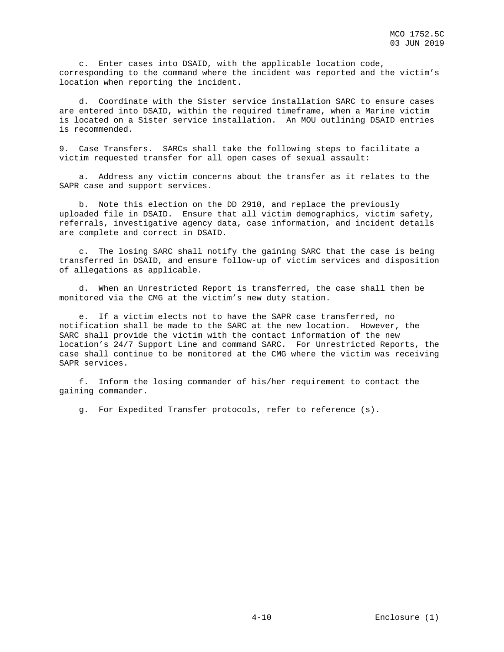c. Enter cases into DSAID, with the applicable location code, corresponding to the command where the incident was reported and the victim's location when reporting the incident.

 d. Coordinate with the Sister service installation SARC to ensure cases are entered into DSAID, within the required timeframe, when a Marine victim is located on a Sister service installation. An MOU outlining DSAID entries is recommended.

9. Case Transfers. SARCs shall take the following steps to facilitate a victim requested transfer for all open cases of sexual assault:

 a. Address any victim concerns about the transfer as it relates to the SAPR case and support services.

 b. Note this election on the DD 2910, and replace the previously uploaded file in DSAID. Ensure that all victim demographics, victim safety, referrals, investigative agency data, case information, and incident details are complete and correct in DSAID.

 c. The losing SARC shall notify the gaining SARC that the case is being transferred in DSAID, and ensure follow-up of victim services and disposition of allegations as applicable.

 d. When an Unrestricted Report is transferred, the case shall then be monitored via the CMG at the victim's new duty station.

 e. If a victim elects not to have the SAPR case transferred, no notification shall be made to the SARC at the new location. However, the SARC shall provide the victim with the contact information of the new location's 24/7 Support Line and command SARC. For Unrestricted Reports, the case shall continue to be monitored at the CMG where the victim was receiving SAPR services.

 f. Inform the losing commander of his/her requirement to contact the gaining commander.

g. For Expedited Transfer protocols, refer to reference (s).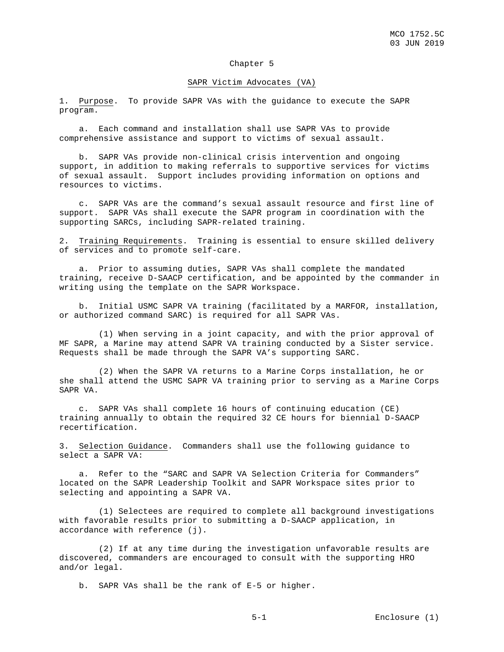## Chapter 5

#### SAPR Victim Advocates (VA)

1. Purpose. To provide SAPR VAs with the guidance to execute the SAPR program.

 a. Each command and installation shall use SAPR VAs to provide comprehensive assistance and support to victims of sexual assault.

 b. SAPR VAs provide non-clinical crisis intervention and ongoing support, in addition to making referrals to supportive services for victims of sexual assault. Support includes providing information on options and resources to victims.

 c. SAPR VAs are the command's sexual assault resource and first line of support. SAPR VAs shall execute the SAPR program in coordination with the supporting SARCs, including SAPR-related training.

2. Training Requirements. Training is essential to ensure skilled delivery of services and to promote self-care.

 a. Prior to assuming duties, SAPR VAs shall complete the mandated training, receive D-SAACP certification, and be appointed by the commander in writing using the template on the SAPR Workspace.

 b. Initial USMC SAPR VA training (facilitated by a MARFOR, installation, or authorized command SARC) is required for all SAPR VAs.

 (1) When serving in a joint capacity, and with the prior approval of MF SAPR, a Marine may attend SAPR VA training conducted by a Sister service. Requests shall be made through the SAPR VA's supporting SARC.

 (2) When the SAPR VA returns to a Marine Corps installation, he or she shall attend the USMC SAPR VA training prior to serving as a Marine Corps SAPR VA.

 c. SAPR VAs shall complete 16 hours of continuing education (CE) training annually to obtain the required 32 CE hours for biennial D-SAACP recertification.

3. Selection Guidance. Commanders shall use the following guidance to select a SAPR VA:

 a. Refer to the "SARC and SAPR VA Selection Criteria for Commanders" located on the SAPR Leadership Toolkit and SAPR Workspace sites prior to selecting and appointing a SAPR VA.

 (1) Selectees are required to complete all background investigations with favorable results prior to submitting a D-SAACP application, in accordance with reference (j).

 (2) If at any time during the investigation unfavorable results are discovered, commanders are encouraged to consult with the supporting HRO and/or legal.

b. SAPR VAs shall be the rank of E-5 or higher.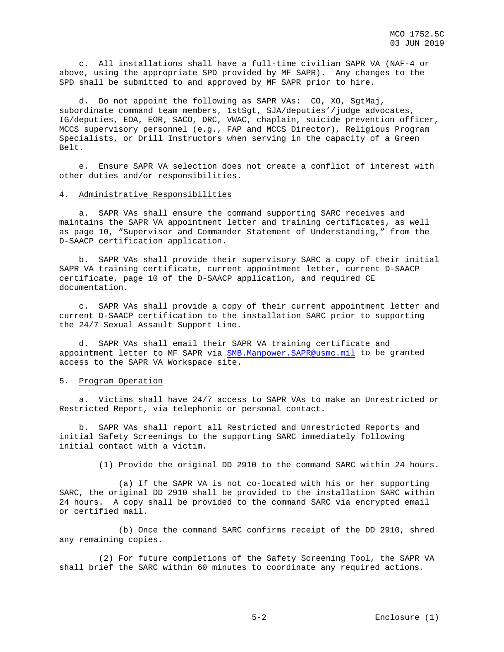c. All installations shall have a full-time civilian SAPR VA (NAF-4 or above, using the appropriate SPD provided by MF SAPR). Any changes to the SPD shall be submitted to and approved by MF SAPR prior to hire.

 d. Do not appoint the following as SAPR VAs: CO, XO, SgtMaj, subordinate command team members, 1stSgt, SJA/deputies'/judge advocates, IG/deputies, EOA, EOR, SACO, DRC, VWAC, chaplain, suicide prevention officer, MCCS supervisory personnel (e.g., FAP and MCCS Director), Religious Program Specialists, or Drill Instructors when serving in the capacity of a Green Belt.

 e. Ensure SAPR VA selection does not create a conflict of interest with other duties and/or responsibilities.

#### 4. Administrative Responsibilities

 a. SAPR VAs shall ensure the command supporting SARC receives and maintains the SAPR VA appointment letter and training certificates, as well as page 10, "Supervisor and Commander Statement of Understanding," from the D-SAACP certification application.

 b. SAPR VAs shall provide their supervisory SARC a copy of their initial SAPR VA training certificate, current appointment letter, current D-SAACP certificate, page 10 of the D-SAACP application, and required CE documentation.

 c. SAPR VAs shall provide a copy of their current appointment letter and current D-SAACP certification to the installation SARC prior to supporting the 24/7 Sexual Assault Support Line.

 d. SAPR VAs shall email their SAPR VA training certificate and appointment letter to MF SAPR via [SMB.Manpower.SAPR@usmc.mil](mailto:SMB.Manpower.SAPR@usmc.mil) to be granted access to the SAPR VA Workspace site.

#### 5. Program Operation

 a. Victims shall have 24/7 access to SAPR VAs to make an Unrestricted or Restricted Report, via telephonic or personal contact.

 b. SAPR VAs shall report all Restricted and Unrestricted Reports and initial Safety Screenings to the supporting SARC immediately following initial contact with a victim.

(1) Provide the original DD 2910 to the command SARC within 24 hours.

 (a) If the SAPR VA is not co-located with his or her supporting SARC, the original DD 2910 shall be provided to the installation SARC within 24 hours. A copy shall be provided to the command SARC via encrypted email or certified mail.

 (b) Once the command SARC confirms receipt of the DD 2910, shred any remaining copies.

 (2) For future completions of the Safety Screening Tool, the SAPR VA shall brief the SARC within 60 minutes to coordinate any required actions.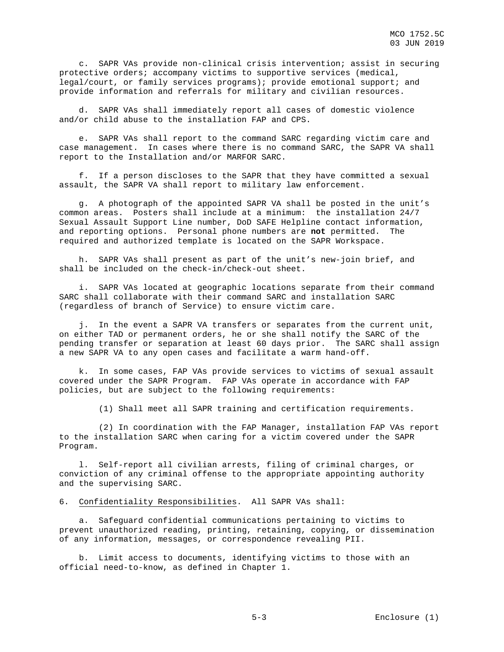c. SAPR VAs provide non-clinical crisis intervention; assist in securing protective orders; accompany victims to supportive services (medical, legal/court, or family services programs); provide emotional support; and provide information and referrals for military and civilian resources.

SAPR VAs shall immediately report all cases of domestic violence and/or child abuse to the installation FAP and CPS.

 e. SAPR VAs shall report to the command SARC regarding victim care and case management. In cases where there is no command SARC, the SAPR VA shall report to the Installation and/or MARFOR SARC.

 f. If a person discloses to the SAPR that they have committed a sexual assault, the SAPR VA shall report to military law enforcement.

 g. A photograph of the appointed SAPR VA shall be posted in the unit's common areas. Posters shall include at a minimum: the installation 24/7 Sexual Assault Support Line number, DoD SAFE Helpline contact information, and reporting options. Personal phone numbers are **not** permitted. The required and authorized template is located on the SAPR Workspace.

 h. SAPR VAs shall present as part of the unit's new-join brief, and shall be included on the check-in/check-out sheet.

 i. SAPR VAs located at geographic locations separate from their command SARC shall collaborate with their command SARC and installation SARC (regardless of branch of Service) to ensure victim care.

 j. In the event a SAPR VA transfers or separates from the current unit, on either TAD or permanent orders, he or she shall notify the SARC of the pending transfer or separation at least 60 days prior. The SARC shall assign a new SAPR VA to any open cases and facilitate a warm hand-off.

 k. In some cases, FAP VAs provide services to victims of sexual assault covered under the SAPR Program. FAP VAs operate in accordance with FAP policies, but are subject to the following requirements:

(1) Shall meet all SAPR training and certification requirements.

 (2) In coordination with the FAP Manager, installation FAP VAs report to the installation SARC when caring for a victim covered under the SAPR Program.

 l. Self-report all civilian arrests, filing of criminal charges, or conviction of any criminal offense to the appropriate appointing authority and the supervising SARC.

#### 6. Confidentiality Responsibilities. All SAPR VAs shall:

 a. Safeguard confidential communications pertaining to victims to prevent unauthorized reading, printing, retaining, copying, or dissemination of any information, messages, or correspondence revealing PII.

 b. Limit access to documents, identifying victims to those with an official need-to-know, as defined in Chapter 1.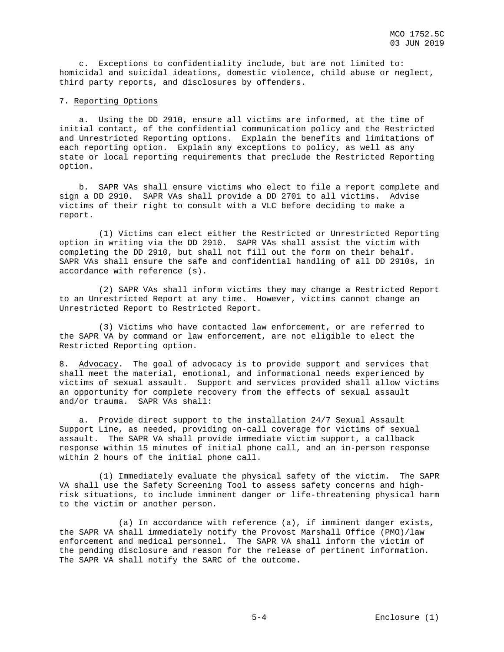c. Exceptions to confidentiality include, but are not limited to: homicidal and suicidal ideations, domestic violence, child abuse or neglect, third party reports, and disclosures by offenders.

#### 7. Reporting Options

 a. Using the DD 2910, ensure all victims are informed, at the time of initial contact, of the confidential communication policy and the Restricted and Unrestricted Reporting options. Explain the benefits and limitations of each reporting option. Explain any exceptions to policy, as well as any state or local reporting requirements that preclude the Restricted Reporting option.

 b. SAPR VAs shall ensure victims who elect to file a report complete and sign a DD 2910. SAPR VAs shall provide a DD 2701 to all victims. Advise victims of their right to consult with a VLC before deciding to make a report.

 (1) Victims can elect either the Restricted or Unrestricted Reporting option in writing via the DD 2910. SAPR VAs shall assist the victim with completing the DD 2910, but shall not fill out the form on their behalf. SAPR VAs shall ensure the safe and confidential handling of all DD 2910s, in accordance with reference (s).

 (2) SAPR VAs shall inform victims they may change a Restricted Report to an Unrestricted Report at any time. However, victims cannot change an Unrestricted Report to Restricted Report.

 (3) Victims who have contacted law enforcement, or are referred to the SAPR VA by command or law enforcement, are not eligible to elect the Restricted Reporting option.

8. Advocacy. The goal of advocacy is to provide support and services that shall meet the material, emotional, and informational needs experienced by victims of sexual assault. Support and services provided shall allow victims an opportunity for complete recovery from the effects of sexual assault and/or trauma. SAPR VAs shall:

 a. Provide direct support to the installation 24/7 Sexual Assault Support Line, as needed, providing on-call coverage for victims of sexual assault. The SAPR VA shall provide immediate victim support, a callback response within 15 minutes of initial phone call, and an in-person response within 2 hours of the initial phone call.

 (1) Immediately evaluate the physical safety of the victim. The SAPR VA shall use the Safety Screening Tool to assess safety concerns and highrisk situations, to include imminent danger or life-threatening physical harm to the victim or another person.

 (a) In accordance with reference (a), if imminent danger exists, the SAPR VA shall immediately notify the Provost Marshall Office (PMO)/law enforcement and medical personnel. The SAPR VA shall inform the victim of the pending disclosure and reason for the release of pertinent information. The SAPR VA shall notify the SARC of the outcome.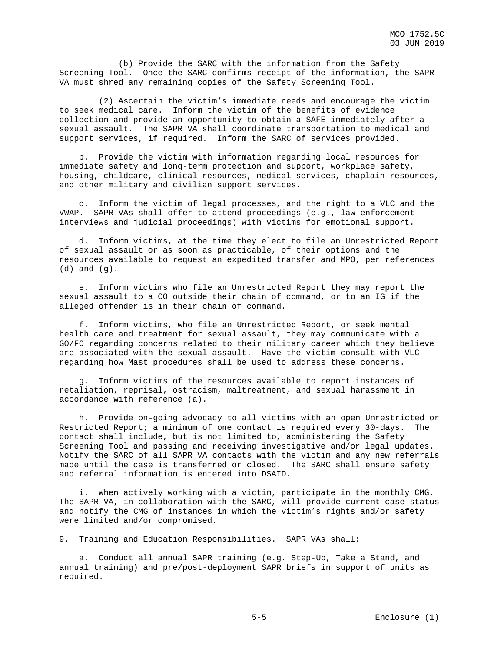(b) Provide the SARC with the information from the Safety Screening Tool. Once the SARC confirms receipt of the information, the SAPR VA must shred any remaining copies of the Safety Screening Tool.

 (2) Ascertain the victim's immediate needs and encourage the victim to seek medical care. Inform the victim of the benefits of evidence collection and provide an opportunity to obtain a SAFE immediately after a sexual assault. The SAPR VA shall coordinate transportation to medical and support services, if required. Inform the SARC of services provided.

 b. Provide the victim with information regarding local resources for immediate safety and long-term protection and support, workplace safety, housing, childcare, clinical resources, medical services, chaplain resources, and other military and civilian support services.

 c. Inform the victim of legal processes, and the right to a VLC and the VWAP. SAPR VAs shall offer to attend proceedings (e.g., law enforcement interviews and judicial proceedings) with victims for emotional support.

 d. Inform victims, at the time they elect to file an Unrestricted Report of sexual assault or as soon as practicable, of their options and the resources available to request an expedited transfer and MPO, per references (d) and (g).

 e. Inform victims who file an Unrestricted Report they may report the sexual assault to a CO outside their chain of command, or to an IG if the alleged offender is in their chain of command.

 f. Inform victims, who file an Unrestricted Report, or seek mental health care and treatment for sexual assault, they may communicate with a GO/FO regarding concerns related to their military career which they believe are associated with the sexual assault. Have the victim consult with VLC regarding how Mast procedures shall be used to address these concerns.

 g. Inform victims of the resources available to report instances of retaliation, reprisal, ostracism, maltreatment, and sexual harassment in accordance with reference (a).

 h. Provide on-going advocacy to all victims with an open Unrestricted or Restricted Report; a minimum of one contact is required every 30-days. The contact shall include, but is not limited to, administering the Safety Screening Tool and passing and receiving investigative and/or legal updates. Notify the SARC of all SAPR VA contacts with the victim and any new referrals made until the case is transferred or closed. The SARC shall ensure safety and referral information is entered into DSAID.

 i. When actively working with a victim, participate in the monthly CMG. The SAPR VA, in collaboration with the SARC, will provide current case status and notify the CMG of instances in which the victim's rights and/or safety were limited and/or compromised.

9. Training and Education Responsibilities. SAPR VAs shall:

 a. Conduct all annual SAPR training (e.g. Step-Up, Take a Stand, and annual training) and pre/post-deployment SAPR briefs in support of units as required.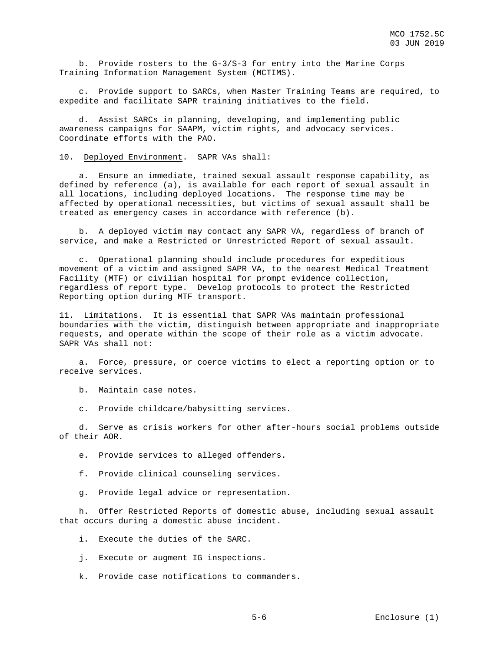b. Provide rosters to the G-3/S-3 for entry into the Marine Corps Training Information Management System (MCTIMS).

 c. Provide support to SARCs, when Master Training Teams are required, to expedite and facilitate SAPR training initiatives to the field.

 d. Assist SARCs in planning, developing, and implementing public awareness campaigns for SAAPM, victim rights, and advocacy services. Coordinate efforts with the PAO.

10. Deployed Environment. SAPR VAs shall:

 a. Ensure an immediate, trained sexual assault response capability, as defined by reference (a), is available for each report of sexual assault in all locations, including deployed locations. The response time may be affected by operational necessities, but victims of sexual assault shall be treated as emergency cases in accordance with reference (b).

 b. A deployed victim may contact any SAPR VA, regardless of branch of service, and make a Restricted or Unrestricted Report of sexual assault.

 c. Operational planning should include procedures for expeditious movement of a victim and assigned SAPR VA, to the nearest Medical Treatment Facility (MTF) or civilian hospital for prompt evidence collection, regardless of report type. Develop protocols to protect the Restricted Reporting option during MTF transport.

11. Limitations. It is essential that SAPR VAs maintain professional boundaries with the victim, distinguish between appropriate and inappropriate requests, and operate within the scope of their role as a victim advocate. SAPR VAs shall not:

 a. Force, pressure, or coerce victims to elect a reporting option or to receive services.

b. Maintain case notes.

c. Provide childcare/babysitting services.

 d. Serve as crisis workers for other after-hours social problems outside of their AOR.

e. Provide services to alleged offenders.

- f. Provide clinical counseling services.
- g. Provide legal advice or representation.

 h. Offer Restricted Reports of domestic abuse, including sexual assault that occurs during a domestic abuse incident.

i. Execute the duties of the SARC.

- j. Execute or augment IG inspections.
- k. Provide case notifications to commanders.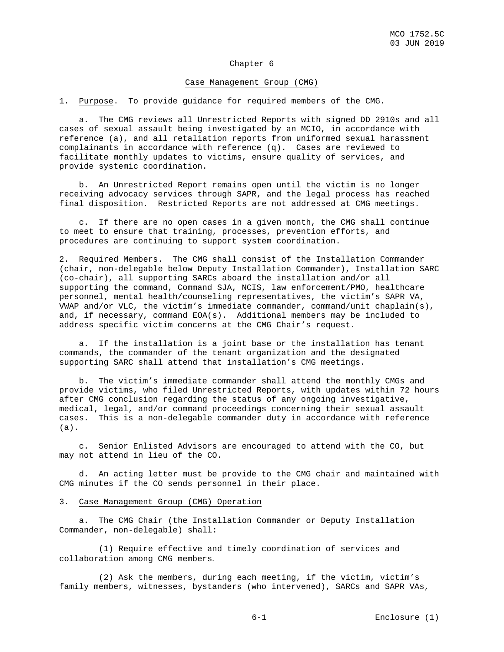## Chapter 6

#### Case Management Group (CMG)

1. Purpose. To provide guidance for required members of the CMG.

 a. The CMG reviews all Unrestricted Reports with signed DD 2910s and all cases of sexual assault being investigated by an MCIO, in accordance with reference (a), and all retaliation reports from uniformed sexual harassment complainants in accordance with reference (q). Cases are reviewed to facilitate monthly updates to victims, ensure quality of services, and provide systemic coordination.

 b. An Unrestricted Report remains open until the victim is no longer receiving advocacy services through SAPR, and the legal process has reached final disposition. Restricted Reports are not addressed at CMG meetings.

 c. If there are no open cases in a given month, the CMG shall continue to meet to ensure that training, processes, prevention efforts, and procedures are continuing to support system coordination.

2. Required Members. The CMG shall consist of the Installation Commander (chair, non-delegable below Deputy Installation Commander), Installation SARC (co-chair), all supporting SARCs aboard the installation and/or all supporting the command, Command SJA, NCIS, law enforcement/PMO, healthcare personnel, mental health/counseling representatives, the victim's SAPR VA, WWAP and/or VLC, the victim's immediate commander, command/unit chaplain(s), and, if necessary, command EOA(s). Additional members may be included to address specific victim concerns at the CMG Chair's request.

 a. If the installation is a joint base or the installation has tenant commands, the commander of the tenant organization and the designated supporting SARC shall attend that installation's CMG meetings.

 b. The victim's immediate commander shall attend the monthly CMGs and provide victims, who filed Unrestricted Reports, with updates within 72 hours after CMG conclusion regarding the status of any ongoing investigative, medical, legal, and/or command proceedings concerning their sexual assault cases. This is a non-delegable commander duty in accordance with reference (a).

 c. Senior Enlisted Advisors are encouraged to attend with the CO, but may not attend in lieu of the CO.

 d. An acting letter must be provide to the CMG chair and maintained with CMG minutes if the CO sends personnel in their place.

## 3. Case Management Group (CMG) Operation

 a. The CMG Chair (the Installation Commander or Deputy Installation Commander, non-delegable) shall:

 (1) Require effective and timely coordination of services and collaboration among CMG members.

 (2) Ask the members, during each meeting, if the victim, victim's family members, witnesses, bystanders (who intervened), SARCs and SAPR VAs,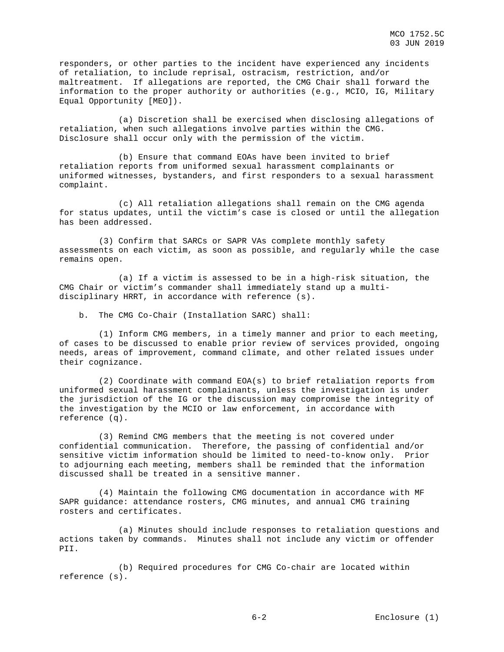responders, or other parties to the incident have experienced any incidents of retaliation, to include reprisal, ostracism, restriction, and/or maltreatment. If allegations are reported, the CMG Chair shall forward the information to the proper authority or authorities (e.g., MCIO, IG, Military Equal Opportunity [MEO]).

 (a) Discretion shall be exercised when disclosing allegations of retaliation, when such allegations involve parties within the CMG. Disclosure shall occur only with the permission of the victim.

 (b) Ensure that command EOAs have been invited to brief retaliation reports from uniformed sexual harassment complainants or uniformed witnesses, bystanders, and first responders to a sexual harassment complaint.

 (c) All retaliation allegations shall remain on the CMG agenda for status updates, until the victim's case is closed or until the allegation has been addressed.

 (3) Confirm that SARCs or SAPR VAs complete monthly safety assessments on each victim, as soon as possible, and regularly while the case remains open.

 (a) If a victim is assessed to be in a high-risk situation, the CMG Chair or victim's commander shall immediately stand up a multidisciplinary HRRT, in accordance with reference (s).

b. The CMG Co-Chair (Installation SARC) shall:

 (1) Inform CMG members, in a timely manner and prior to each meeting, of cases to be discussed to enable prior review of services provided, ongoing needs, areas of improvement, command climate, and other related issues under their cognizance.

 (2) Coordinate with command EOA(s) to brief retaliation reports from uniformed sexual harassment complainants, unless the investigation is under the jurisdiction of the IG or the discussion may compromise the integrity of the investigation by the MCIO or law enforcement, in accordance with reference (q).

 (3) Remind CMG members that the meeting is not covered under confidential communication. Therefore, the passing of confidential and/or sensitive victim information should be limited to need-to-know only. Prior to adjourning each meeting, members shall be reminded that the information discussed shall be treated in a sensitive manner.

 (4) Maintain the following CMG documentation in accordance with MF SAPR guidance: attendance rosters, CMG minutes, and annual CMG training rosters and certificates.

 (a) Minutes should include responses to retaliation questions and actions taken by commands. Minutes shall not include any victim or offender PII.

 (b) Required procedures for CMG Co-chair are located within reference (s).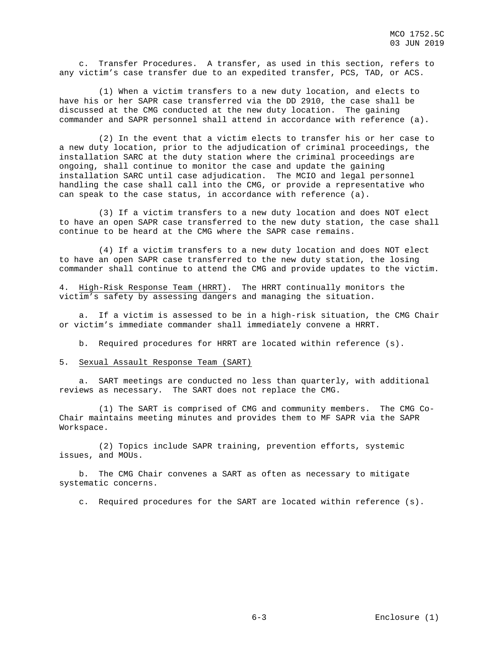c. Transfer Procedures. A transfer, as used in this section, refers to any victim's case transfer due to an expedited transfer, PCS, TAD, or ACS.

 (1) When a victim transfers to a new duty location, and elects to have his or her SAPR case transferred via the DD 2910, the case shall be discussed at the CMG conducted at the new duty location. The gaining commander and SAPR personnel shall attend in accordance with reference (a).

 (2) In the event that a victim elects to transfer his or her case to a new duty location, prior to the adjudication of criminal proceedings, the installation SARC at the duty station where the criminal proceedings are ongoing, shall continue to monitor the case and update the gaining installation SARC until case adjudication. The MCIO and legal personnel handling the case shall call into the CMG, or provide a representative who can speak to the case status, in accordance with reference (a).

 (3) If a victim transfers to a new duty location and does NOT elect to have an open SAPR case transferred to the new duty station, the case shall continue to be heard at the CMG where the SAPR case remains.

 (4) If a victim transfers to a new duty location and does NOT elect to have an open SAPR case transferred to the new duty station, the losing commander shall continue to attend the CMG and provide updates to the victim.

4. High-Risk Response Team (HRRT). The HRRT continually monitors the victim's safety by assessing dangers and managing the situation.

 a. If a victim is assessed to be in a high-risk situation, the CMG Chair or victim's immediate commander shall immediately convene a HRRT.

b. Required procedures for HRRT are located within reference (s).

#### 5. Sexual Assault Response Team (SART)

 a. SART meetings are conducted no less than quarterly, with additional reviews as necessary. The SART does not replace the CMG.

 (1) The SART is comprised of CMG and community members. The CMG Co-Chair maintains meeting minutes and provides them to MF SAPR via the SAPR Workspace.

 (2) Topics include SAPR training, prevention efforts, systemic issues, and MOUs.

 b. The CMG Chair convenes a SART as often as necessary to mitigate systematic concerns.

c. Required procedures for the SART are located within reference (s).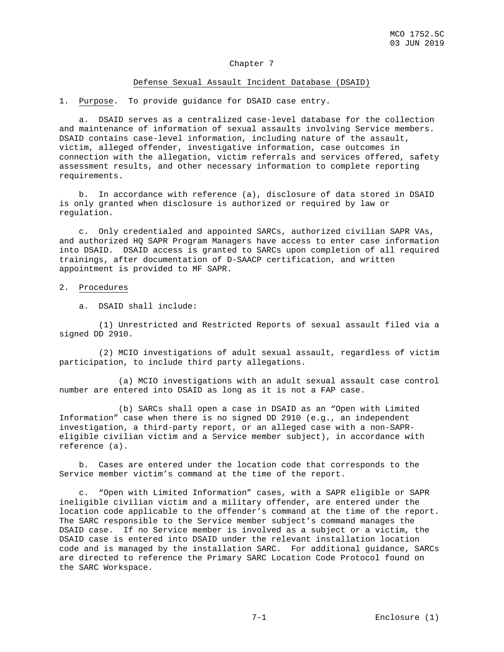## Chapter 7

#### Defense Sexual Assault Incident Database (DSAID)

1. Purpose. To provide guidance for DSAID case entry.

 a. DSAID serves as a centralized case-level database for the collection and maintenance of information of sexual assaults involving Service members. DSAID contains case-level information, including nature of the assault, victim, alleged offender, investigative information, case outcomes in connection with the allegation, victim referrals and services offered, safety assessment results, and other necessary information to complete reporting requirements.

 b. In accordance with reference (a), disclosure of data stored in DSAID is only granted when disclosure is authorized or required by law or regulation.

 c. Only credentialed and appointed SARCs, authorized civilian SAPR VAs, and authorized HQ SAPR Program Managers have access to enter case information into DSAID. DSAID access is granted to SARCs upon completion of all required trainings, after documentation of D-SAACP certification, and written appointment is provided to MF SAPR.

#### 2. Procedures

a. DSAID shall include:

 (1) Unrestricted and Restricted Reports of sexual assault filed via a signed DD 2910.

 (2) MCIO investigations of adult sexual assault, regardless of victim participation, to include third party allegations.

 (a) MCIO investigations with an adult sexual assault case control number are entered into DSAID as long as it is not a FAP case.

 (b) SARCs shall open a case in DSAID as an "Open with Limited Information" case when there is no signed DD 2910 (e.g., an independent investigation, a third-party report, or an alleged case with a non-SAPReligible civilian victim and a Service member subject), in accordance with reference (a).

 b. Cases are entered under the location code that corresponds to the Service member victim's command at the time of the report.

 c. "Open with Limited Information" cases, with a SAPR eligible or SAPR ineligible civilian victim and a military offender, are entered under the location code applicable to the offender's command at the time of the report. The SARC responsible to the Service member subject's command manages the DSAID case. If no Service member is involved as a subject or a victim, the DSAID case is entered into DSAID under the relevant installation location code and is managed by the installation SARC. For additional guidance, SARCs are directed to reference the Primary SARC Location Code Protocol found on the SARC Workspace.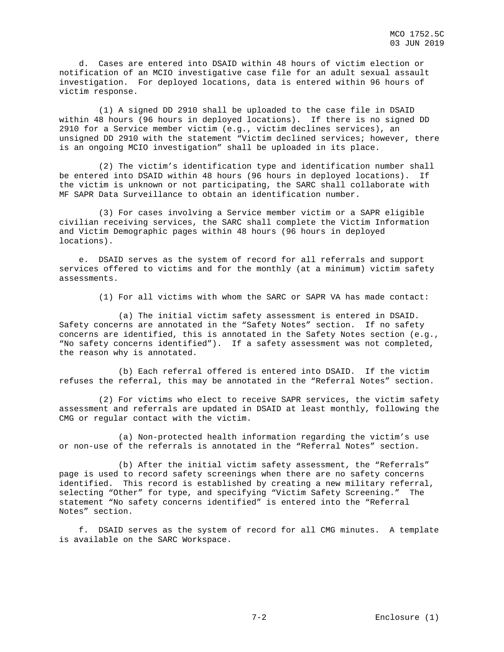d. Cases are entered into DSAID within 48 hours of victim election or notification of an MCIO investigative case file for an adult sexual assault investigation. For deployed locations, data is entered within 96 hours of victim response.

 (1) A signed DD 2910 shall be uploaded to the case file in DSAID within 48 hours (96 hours in deployed locations). If there is no signed DD 2910 for a Service member victim (e.g., victim declines services), an unsigned DD 2910 with the statement "Victim declined services; however, there is an ongoing MCIO investigation" shall be uploaded in its place.

 (2) The victim's identification type and identification number shall be entered into DSAID within 48 hours (96 hours in deployed locations). If the victim is unknown or not participating, the SARC shall collaborate with MF SAPR Data Surveillance to obtain an identification number.

 (3) For cases involving a Service member victim or a SAPR eligible civilian receiving services, the SARC shall complete the Victim Information and Victim Demographic pages within 48 hours (96 hours in deployed locations).

 e. DSAID serves as the system of record for all referrals and support services offered to victims and for the monthly (at a minimum) victim safety assessments.

(1) For all victims with whom the SARC or SAPR VA has made contact:

 (a) The initial victim safety assessment is entered in DSAID. Safety concerns are annotated in the "Safety Notes" section. If no safety concerns are identified, this is annotated in the Safety Notes section (e.g., "No safety concerns identified"). If a safety assessment was not completed, the reason why is annotated.

 (b) Each referral offered is entered into DSAID. If the victim refuses the referral, this may be annotated in the "Referral Notes" section.

 (2) For victims who elect to receive SAPR services, the victim safety assessment and referrals are updated in DSAID at least monthly, following the CMG or regular contact with the victim.

 (a) Non-protected health information regarding the victim's use or non-use of the referrals is annotated in the "Referral Notes" section.

 (b) After the initial victim safety assessment, the "Referrals" page is used to record safety screenings when there are no safety concerns identified. This record is established by creating a new military referral, selecting "Other" for type, and specifying "Victim Safety Screening." The statement "No safety concerns identified" is entered into the "Referral Notes" section.

 f. DSAID serves as the system of record for all CMG minutes. A template is available on the SARC Workspace.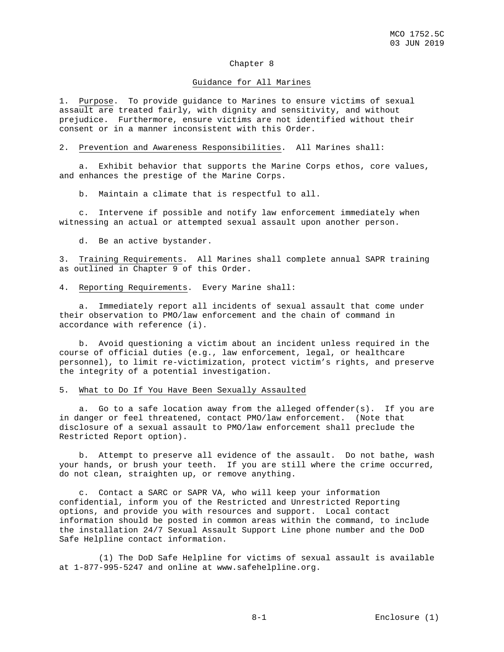#### Chapter 8

#### Guidance for All Marines

1. Purpose. To provide guidance to Marines to ensure victims of sexual assault are treated fairly, with dignity and sensitivity, and without prejudice. Furthermore, ensure victims are not identified without their consent or in a manner inconsistent with this Order.

#### 2. Prevention and Awareness Responsibilities. All Marines shall:

 a. Exhibit behavior that supports the Marine Corps ethos, core values, and enhances the prestige of the Marine Corps.

b. Maintain a climate that is respectful to all.

 c. Intervene if possible and notify law enforcement immediately when witnessing an actual or attempted sexual assault upon another person.

d. Be an active bystander.

3. Training Requirements. All Marines shall complete annual SAPR training as outlined in Chapter 9 of this Order.

4. Reporting Requirements. Every Marine shall:

 a. Immediately report all incidents of sexual assault that come under their observation to PMO/law enforcement and the chain of command in accordance with reference (i).

 b. Avoid questioning a victim about an incident unless required in the course of official duties (e.g., law enforcement, legal, or healthcare personnel), to limit re-victimization, protect victim's rights, and preserve the integrity of a potential investigation.

## 5. What to Do If You Have Been Sexually Assaulted

 a. Go to a safe location away from the alleged offender(s). If you are in danger or feel threatened, contact PMO/law enforcement. (Note that disclosure of a sexual assault to PMO/law enforcement shall preclude the Restricted Report option).

 b. Attempt to preserve all evidence of the assault. Do not bathe, wash your hands, or brush your teeth. If you are still where the crime occurred, do not clean, straighten up, or remove anything.

 c. Contact a SARC or SAPR VA, who will keep your information confidential, inform you of the Restricted and Unrestricted Reporting options, and provide you with resources and support. Local contact information should be posted in common areas within the command, to include the installation 24/7 Sexual Assault Support Line phone number and the DoD Safe Helpline contact information.

 (1) The DoD Safe Helpline for victims of sexual assault is available at 1-877-995-5247 and online at www.safehelpline.org.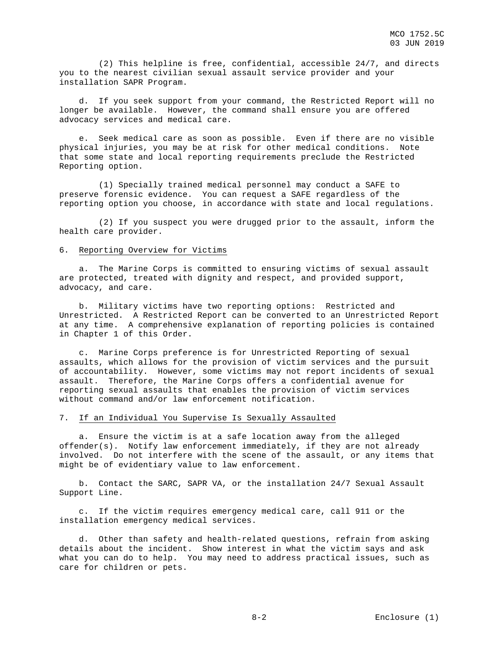(2) This helpline is free, confidential, accessible 24/7, and directs you to the nearest civilian sexual assault service provider and your installation SAPR Program.

 d. If you seek support from your command, the Restricted Report will no longer be available. However, the command shall ensure you are offered advocacy services and medical care.

 e. Seek medical care as soon as possible. Even if there are no visible physical injuries, you may be at risk for other medical conditions. Note that some state and local reporting requirements preclude the Restricted Reporting option.

 (1) Specially trained medical personnel may conduct a SAFE to preserve forensic evidence. You can request a SAFE regardless of the reporting option you choose, in accordance with state and local regulations.

 (2) If you suspect you were drugged prior to the assault, inform the health care provider.

#### 6. Reporting Overview for Victims

 a. The Marine Corps is committed to ensuring victims of sexual assault are protected, treated with dignity and respect, and provided support, advocacy, and care.

 b. Military victims have two reporting options: Restricted and Unrestricted. A Restricted Report can be converted to an Unrestricted Report at any time. A comprehensive explanation of reporting policies is contained in Chapter 1 of this Order.

 c. Marine Corps preference is for Unrestricted Reporting of sexual assaults, which allows for the provision of victim services and the pursuit of accountability. However, some victims may not report incidents of sexual assault. Therefore, the Marine Corps offers a confidential avenue for reporting sexual assaults that enables the provision of victim services without command and/or law enforcement notification.

#### 7. If an Individual You Supervise Is Sexually Assaulted

 a. Ensure the victim is at a safe location away from the alleged offender(s). Notify law enforcement immediately, if they are not already involved. Do not interfere with the scene of the assault, or any items that might be of evidentiary value to law enforcement.

 b. Contact the SARC, SAPR VA, or the installation 24/7 Sexual Assault Support Line.

 c. If the victim requires emergency medical care, call 911 or the installation emergency medical services.

 d. Other than safety and health-related questions, refrain from asking details about the incident. Show interest in what the victim says and ask what you can do to help. You may need to address practical issues, such as care for children or pets.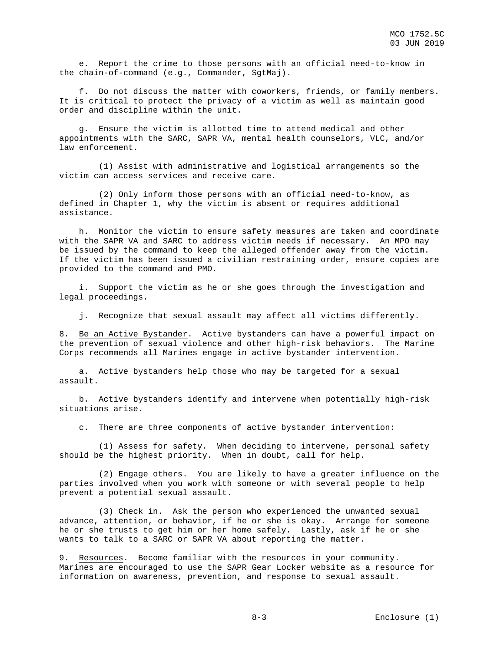e. Report the crime to those persons with an official need-to-know in the chain-of-command (e.g., Commander, SgtMaj).

 f. Do not discuss the matter with coworkers, friends, or family members. It is critical to protect the privacy of a victim as well as maintain good order and discipline within the unit.

 g. Ensure the victim is allotted time to attend medical and other appointments with the SARC, SAPR VA, mental health counselors, VLC, and/or law enforcement.

 (1) Assist with administrative and logistical arrangements so the victim can access services and receive care.

 (2) Only inform those persons with an official need-to-know, as defined in Chapter 1, why the victim is absent or requires additional assistance.

 h. Monitor the victim to ensure safety measures are taken and coordinate with the SAPR VA and SARC to address victim needs if necessary. An MPO may be issued by the command to keep the alleged offender away from the victim. If the victim has been issued a civilian restraining order, ensure copies are provided to the command and PMO.

 i. Support the victim as he or she goes through the investigation and legal proceedings.

j. Recognize that sexual assault may affect all victims differently.

8. Be an Active Bystander. Active bystanders can have a powerful impact on the prevention of sexual violence and other high-risk behaviors. The Marine Corps recommends all Marines engage in active bystander intervention.

 a. Active bystanders help those who may be targeted for a sexual assault.

 b. Active bystanders identify and intervene when potentially high-risk situations arise.

c. There are three components of active bystander intervention:

 (1) Assess for safety. When deciding to intervene, personal safety should be the highest priority. When in doubt, call for help.

 (2) Engage others. You are likely to have a greater influence on the parties involved when you work with someone or with several people to help prevent a potential sexual assault.

 (3) Check in. Ask the person who experienced the unwanted sexual advance, attention, or behavior, if he or she is okay. Arrange for someone he or she trusts to get him or her home safely. Lastly, ask if he or she wants to talk to a SARC or SAPR VA about reporting the matter.

9. Resources. Become familiar with the resources in your community. Marines are encouraged to use the SAPR Gear Locker website as a resource for information on awareness, prevention, and response to sexual assault.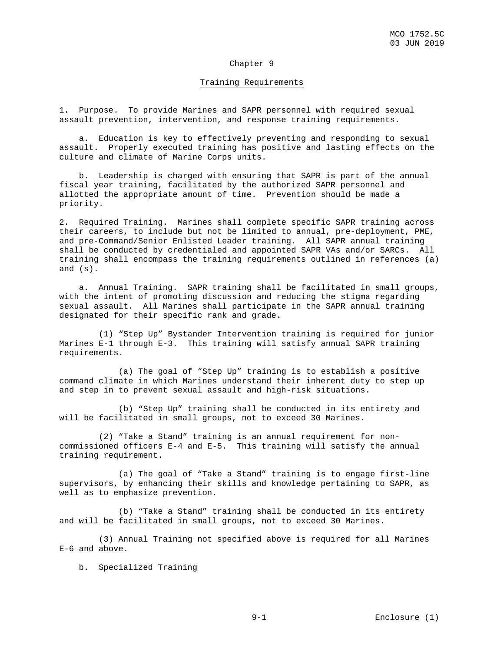## Chapter 9

#### Training Requirements

1. Purpose. To provide Marines and SAPR personnel with required sexual assault prevention, intervention, and response training requirements.

 a. Education is key to effectively preventing and responding to sexual assault. Properly executed training has positive and lasting effects on the culture and climate of Marine Corps units.

 b. Leadership is charged with ensuring that SAPR is part of the annual fiscal year training, facilitated by the authorized SAPR personnel and allotted the appropriate amount of time. Prevention should be made a priority.

2. Required Training. Marines shall complete specific SAPR training across their careers, to include but not be limited to annual, pre-deployment, PME, and pre-Command/Senior Enlisted Leader training. All SAPR annual training shall be conducted by credentialed and appointed SAPR VAs and/or SARCs. All training shall encompass the training requirements outlined in references (a) and (s).

 a. Annual Training. SAPR training shall be facilitated in small groups, with the intent of promoting discussion and reducing the stigma regarding sexual assault. All Marines shall participate in the SAPR annual training designated for their specific rank and grade.

 (1) "Step Up" Bystander Intervention training is required for junior Marines E-1 through E-3. This training will satisfy annual SAPR training requirements.

 (a) The goal of "Step Up" training is to establish a positive command climate in which Marines understand their inherent duty to step up and step in to prevent sexual assault and high-risk situations.

 (b) "Step Up" training shall be conducted in its entirety and will be facilitated in small groups, not to exceed 30 Marines.

 (2) "Take a Stand" training is an annual requirement for noncommissioned officers E-4 and E-5. This training will satisfy the annual training requirement.

 (a) The goal of "Take a Stand" training is to engage first-line supervisors, by enhancing their skills and knowledge pertaining to SAPR, as well as to emphasize prevention.

 (b) "Take a Stand" training shall be conducted in its entirety and will be facilitated in small groups, not to exceed 30 Marines.

(3) Annual Training not specified above is required for all Marines E-6 and above.

b. Specialized Training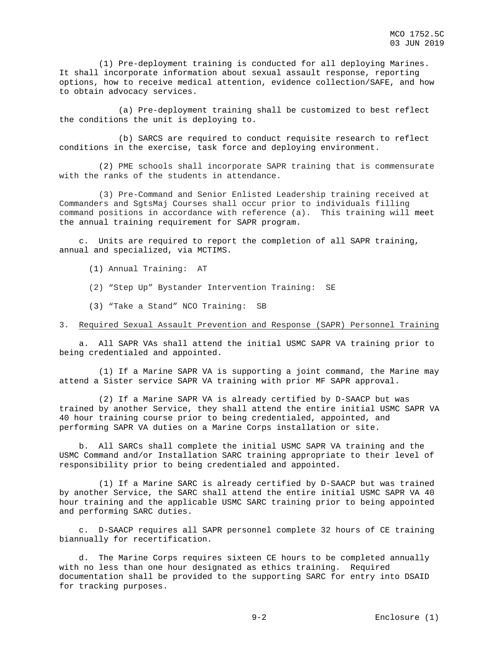(1) Pre-deployment training is conducted for all deploying Marines. It shall incorporate information about sexual assault response, reporting options, how to receive medical attention, evidence collection/SAFE, and how to obtain advocacy services.

 (a) Pre-deployment training shall be customized to best reflect the conditions the unit is deploying to.

 (b) SARCS are required to conduct requisite research to reflect conditions in the exercise, task force and deploying environment.

 (2) PME schools shall incorporate SAPR training that is commensurate with the ranks of the students in attendance.

 (3) Pre-Command and Senior Enlisted Leadership training received at Commanders and SgtsMaj Courses shall occur prior to individuals filling command positions in accordance with reference (a). This training will meet the annual training requirement for SAPR program.

 c. Units are required to report the completion of all SAPR training, annual and specialized, via MCTIMS.

- (1) Annual Training: AT
- (2) "Step Up" Bystander Intervention Training: SE
- (3) "Take a Stand" NCO Training: SB

### 3. Required Sexual Assault Prevention and Response (SAPR) Personnel Training

 a. All SAPR VAs shall attend the initial USMC SAPR VA training prior to being credentialed and appointed.

 (1) If a Marine SAPR VA is supporting a joint command, the Marine may attend a Sister service SAPR VA training with prior MF SAPR approval.

 (2) If a Marine SAPR VA is already certified by D-SAACP but was trained by another Service, they shall attend the entire initial USMC SAPR VA 40 hour training course prior to being credentialed, appointed, and performing SAPR VA duties on a Marine Corps installation or site.

 b. All SARCs shall complete the initial USMC SAPR VA training and the USMC Command and/or Installation SARC training appropriate to their level of responsibility prior to being credentialed and appointed.

 (1) If a Marine SARC is already certified by D-SAACP but was trained by another Service, the SARC shall attend the entire initial USMC SAPR VA 40 hour training and the applicable USMC SARC training prior to being appointed and performing SARC duties.

 c. D-SAACP requires all SAPR personnel complete 32 hours of CE training biannually for recertification.

 d. The Marine Corps requires sixteen CE hours to be completed annually with no less than one hour designated as ethics training. Required documentation shall be provided to the supporting SARC for entry into DSAID for tracking purposes.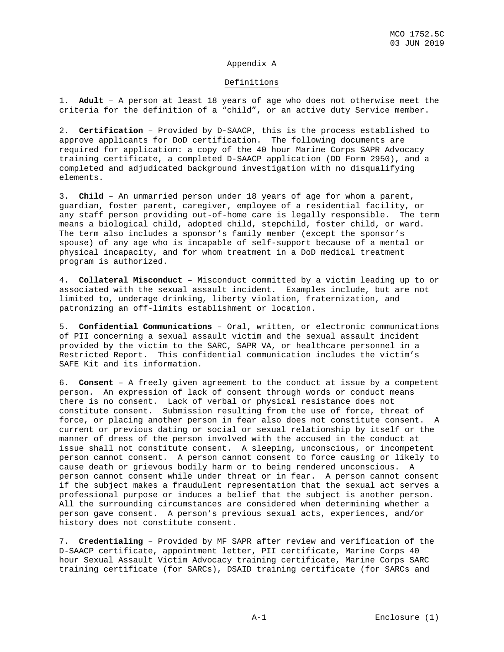## Appendix A

## Definitions

1. **Adult** – A person at least 18 years of age who does not otherwise meet the criteria for the definition of a "child", or an active duty Service member.

2. **Certification** – Provided by D-SAACP, this is the process established to approve applicants for DoD certification. The following documents are required for application: a copy of the 40 hour Marine Corps SAPR Advocacy training certificate, a completed D-SAACP application (DD Form 2950), and a completed and adjudicated background investigation with no disqualifying elements.

3. **Child** – An unmarried person under 18 years of age for whom a parent, guardian, foster parent, caregiver, employee of a residential facility, or any staff person providing out-of-home care is legally responsible. The term means a biological child, adopted child, stepchild, foster child, or ward. The term also includes a sponsor's family member (except the sponsor's spouse) of any age who is incapable of self-support because of a mental or physical incapacity, and for whom treatment in a DoD medical treatment program is authorized.

4. **Collateral Misconduct** – Misconduct committed by a victim leading up to or associated with the sexual assault incident. Examples include, but are not limited to, underage drinking, liberty violation, fraternization, and patronizing an off-limits establishment or location.

5. **Confidential Communications** – Oral, written, or electronic communications of PII concerning a sexual assault victim and the sexual assault incident provided by the victim to the SARC, SAPR VA, or healthcare personnel in a Restricted Report. This confidential communication includes the victim's SAFE Kit and its information.

6. **Consent** – A freely given agreement to the conduct at issue by a competent person. An expression of lack of consent through words or conduct means there is no consent. Lack of verbal or physical resistance does not constitute consent. Submission resulting from the use of force, threat of force, or placing another person in fear also does not constitute consent. A current or previous dating or social or sexual relationship by itself or the manner of dress of the person involved with the accused in the conduct at issue shall not constitute consent. A sleeping, unconscious, or incompetent person cannot consent. A person cannot consent to force causing or likely to cause death or grievous bodily harm or to being rendered unconscious. A person cannot consent while under threat or in fear. A person cannot consent if the subject makes a fraudulent representation that the sexual act serves a professional purpose or induces a belief that the subject is another person. All the surrounding circumstances are considered when determining whether a person gave consent. A person's previous sexual acts, experiences, and/or history does not constitute consent.

7. **Credentialing** – Provided by MF SAPR after review and verification of the D-SAACP certificate, appointment letter, PII certificate, Marine Corps 40 hour Sexual Assault Victim Advocacy training certificate, Marine Corps SARC training certificate (for SARCs), DSAID training certificate (for SARCs and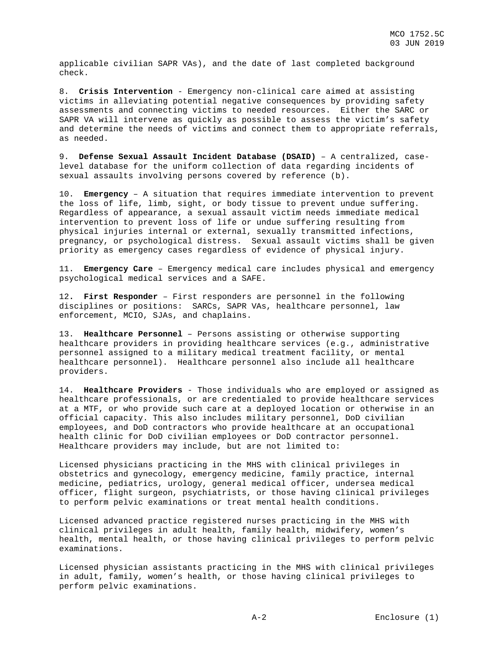applicable civilian SAPR VAs), and the date of last completed background check.

8. **Crisis Intervention** - Emergency non-clinical care aimed at assisting victims in alleviating potential negative consequences by providing safety assessments and connecting victims to needed resources. Either the SARC or SAPR VA will intervene as quickly as possible to assess the victim's safety and determine the needs of victims and connect them to appropriate referrals, as needed.

9. **Defense Sexual Assault Incident Database (DSAID)** – A centralized, caselevel database for the uniform collection of data regarding incidents of sexual assaults involving persons covered by reference (b).

10. **Emergency** – A situation that requires immediate intervention to prevent the loss of life, limb, sight, or body tissue to prevent undue suffering. Regardless of appearance, a sexual assault victim needs immediate medical intervention to prevent loss of life or undue suffering resulting from physical injuries internal or external, sexually transmitted infections, pregnancy, or psychological distress. Sexual assault victims shall be given priority as emergency cases regardless of evidence of physical injury.

11. **Emergency Care** – Emergency medical care includes physical and emergency psychological medical services and a SAFE.

12**. First Responder** – First responders are personnel in the following disciplines or positions: SARCs, SAPR VAs, healthcare personnel, law enforcement, MCIO, SJAs, and chaplains.

13. **Healthcare Personnel** – Persons assisting or otherwise supporting healthcare providers in providing healthcare services (e.g., administrative personnel assigned to a military medical treatment facility, or mental healthcare personnel). Healthcare personnel also include all healthcare providers.

14. **Healthcare Providers** - Those individuals who are employed or assigned as healthcare professionals, or are credentialed to provide healthcare services at a MTF, or who provide such care at a deployed location or otherwise in an official capacity. This also includes military personnel, DoD civilian employees, and DoD contractors who provide healthcare at an occupational health clinic for DoD civilian employees or DoD contractor personnel. Healthcare providers may include, but are not limited to:

Licensed physicians practicing in the MHS with clinical privileges in obstetrics and gynecology, emergency medicine, family practice, internal medicine, pediatrics, urology, general medical officer, undersea medical officer, flight surgeon, psychiatrists, or those having clinical privileges to perform pelvic examinations or treat mental health conditions.

Licensed advanced practice registered nurses practicing in the MHS with clinical privileges in adult health, family health, midwifery, women's health, mental health, or those having clinical privileges to perform pelvic examinations.

Licensed physician assistants practicing in the MHS with clinical privileges in adult, family, women's health, or those having clinical privileges to perform pelvic examinations.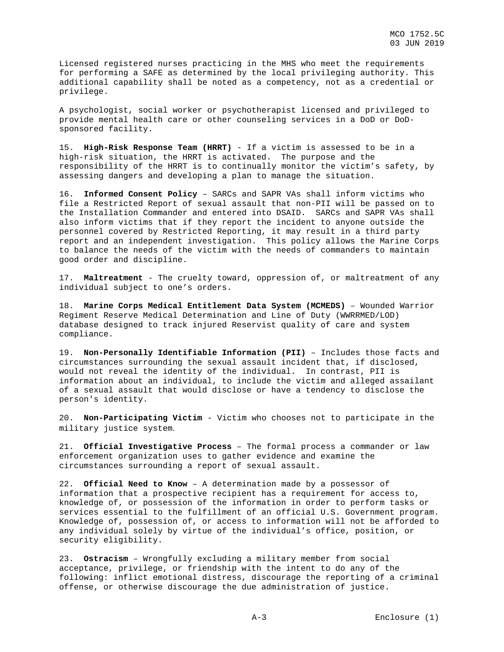Licensed registered nurses practicing in the MHS who meet the requirements for performing a SAFE as determined by the local privileging authority. This additional capability shall be noted as a competency, not as a credential or privilege.

A psychologist, social worker or psychotherapist licensed and privileged to provide mental health care or other counseling services in a DoD or DoDsponsored facility.

15. **High-Risk Response Team (HRRT)** - If a victim is assessed to be in a high-risk situation, the HRRT is activated. The purpose and the responsibility of the HRRT is to continually monitor the victim's safety, by assessing dangers and developing a plan to manage the situation.

16. **Informed Consent Policy** – SARCs and SAPR VAs shall inform victims who file a Restricted Report of sexual assault that non-PII will be passed on to the Installation Commander and entered into DSAID. SARCs and SAPR VAs shall also inform victims that if they report the incident to anyone outside the personnel covered by Restricted Reporting, it may result in a third party report and an independent investigation. This policy allows the Marine Corps to balance the needs of the victim with the needs of commanders to maintain good order and discipline.

17. **Maltreatment** - The cruelty toward, oppression of, or maltreatment of any individual subject to one's orders.

18. **Marine Corps Medical Entitlement Data System (MCMEDS)** – Wounded Warrior Regiment Reserve Medical Determination and Line of Duty (WWRRMED/LOD) database designed to track injured Reservist quality of care and system compliance.

19. **Non-Personally Identifiable Information (PII)** – Includes those facts and circumstances surrounding the sexual assault incident that, if disclosed, would not reveal the identity of the individual. In contrast, PII is information about an individual, to include the victim and alleged assailant of a sexual assault that would disclose or have a tendency to disclose the person's identity.

20. **Non-Participating Victim** - Victim who chooses not to participate in the military justice system.

21. **Official Investigative Process** – The formal process a commander or law enforcement organization uses to gather evidence and examine the circumstances surrounding a report of sexual assault.

22. **Official Need to Know** – A determination made by a possessor of information that a prospective recipient has a requirement for access to, knowledge of, or possession of the information in order to perform tasks or services essential to the fulfillment of an official U.S. Government program. Knowledge of, possession of, or access to information will not be afforded to any individual solely by virtue of the individual's office, position, or security eligibility.

23. **Ostracism** – Wrongfully excluding a military member from social acceptance, privilege, or friendship with the intent to do any of the following: inflict emotional distress, discourage the reporting of a criminal offense, or otherwise discourage the due administration of justice.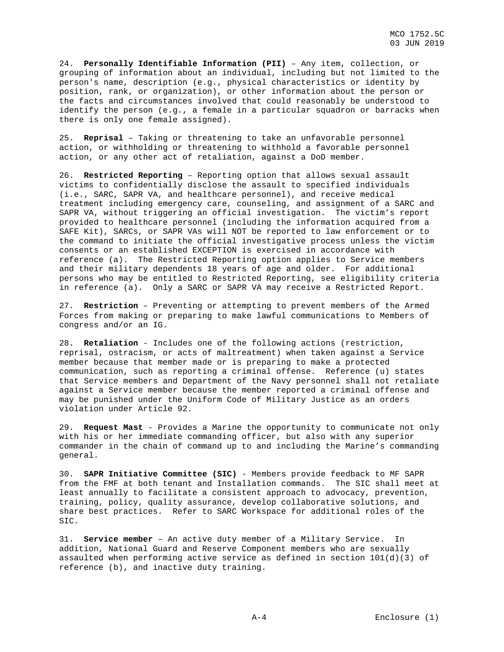24. **Personally Identifiable Information (PII)** – Any item, collection, or grouping of information about an individual, including but not limited to the person's name, description (e.g., physical characteristics or identity by position, rank, or organization), or other information about the person or the facts and circumstances involved that could reasonably be understood to identify the person (e.g., a female in a particular squadron or barracks when there is only one female assigned).

25. **Reprisal** – Taking or threatening to take an unfavorable personnel action, or withholding or threatening to withhold a favorable personnel action, or any other act of retaliation, against a DoD member.

26. **Restricted Reporting** – Reporting option that allows sexual assault victims to confidentially disclose the assault to specified individuals (i.e., SARC, SAPR VA, and healthcare personnel), and receive medical treatment including emergency care, counseling, and assignment of a SARC and SAPR VA, without triggering an official investigation. The victim's report provided to healthcare personnel (including the information acquired from a SAFE Kit), SARCs, or SAPR VAs will NOT be reported to law enforcement or to the command to initiate the official investigative process unless the victim consents or an established EXCEPTION is exercised in accordance with reference (a). The Restricted Reporting option applies to Service members and their military dependents 18 years of age and older. For additional persons who may be entitled to Restricted Reporting, see eligibility criteria in reference (a). Only a SARC or SAPR VA may receive a Restricted Report.

27. **Restriction** – Preventing or attempting to prevent members of the Armed Forces from making or preparing to make lawful communications to Members of congress and/or an IG.

28. **Retaliation** - Includes one of the following actions (restriction, reprisal, ostracism, or acts of maltreatment) when taken against a Service member because that member made or is preparing to make a protected communication, such as reporting a criminal offense. Reference (u) states that Service members and Department of the Navy personnel shall not retaliate against a Service member because the member reported a criminal offense and may be punished under the Uniform Code of Military Justice as an orders violation under Article 92.

29. **Request Mast** - Provides a Marine the opportunity to communicate not only with his or her immediate commanding officer, but also with any superior commander in the chain of command up to and including the Marine's commanding general.

30. **SAPR Initiative Committee (SIC)** - Members provide feedback to MF SAPR from the FMF at both tenant and Installation commands. The SIC shall meet at least annually to facilitate a consistent approach to advocacy, prevention, training, policy, quality assurance, develop collaborative solutions, and share best practices. Refer to SARC Workspace for additional roles of the SIC.

31. **Service member** – An active duty member of a Military Service. In addition, National Guard and Reserve Component members who are sexually assaulted when performing active service as defined in section 101(d)(3) of reference (b), and inactive duty training.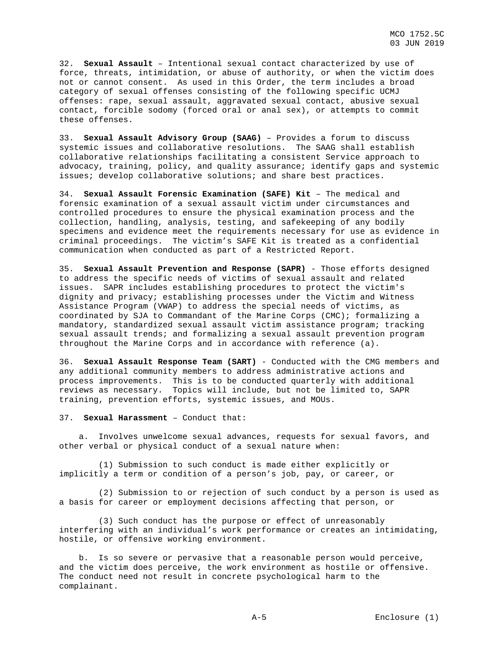32. **Sexual Assault** – Intentional sexual contact characterized by use of force, threats, intimidation, or abuse of authority, or when the victim does not or cannot consent. As used in this Order, the term includes a broad category of sexual offenses consisting of the following specific UCMJ offenses: rape, sexual assault, aggravated sexual contact, abusive sexual contact, forcible sodomy (forced oral or anal sex), or attempts to commit these offenses.

33. **Sexual Assault Advisory Group (SAAG)** – Provides a forum to discuss systemic issues and collaborative resolutions. The SAAG shall establish collaborative relationships facilitating a consistent Service approach to advocacy, training, policy, and quality assurance; identify gaps and systemic issues; develop collaborative solutions; and share best practices.

34. **Sexual Assault Forensic Examination (SAFE) Kit** – The medical and forensic examination of a sexual assault victim under circumstances and controlled procedures to ensure the physical examination process and the collection, handling, analysis, testing, and safekeeping of any bodily specimens and evidence meet the requirements necessary for use as evidence in criminal proceedings. The victim's SAFE Kit is treated as a confidential communication when conducted as part of a Restricted Report.

35. **Sexual Assault Prevention and Response (SAPR)** - Those efforts designed to address the specific needs of victims of sexual assault and related issues. SAPR includes establishing procedures to protect the victim's dignity and privacy; establishing processes under the Victim and Witness Assistance Program (VWAP) to address the special needs of victims, as coordinated by SJA to Commandant of the Marine Corps (CMC); formalizing a mandatory, standardized sexual assault victim assistance program; tracking sexual assault trends; and formalizing a sexual assault prevention program throughout the Marine Corps and in accordance with reference (a).

36. **Sexual Assault Response Team (SART)** - Conducted with the CMG members and any additional community members to address administrative actions and process improvements. This is to be conducted quarterly with additional reviews as necessary. Topics will include, but not be limited to, SAPR training, prevention efforts, systemic issues, and MOUs.

#### 37. **Sexual Harassment** – Conduct that:

 a. Involves unwelcome sexual advances, requests for sexual favors, and other verbal or physical conduct of a sexual nature when:

 (1) Submission to such conduct is made either explicitly or implicitly a term or condition of a person's job, pay, or career, or

 (2) Submission to or rejection of such conduct by a person is used as a basis for career or employment decisions affecting that person, or

 (3) Such conduct has the purpose or effect of unreasonably interfering with an individual's work performance or creates an intimidating, hostile, or offensive working environment.

 b. Is so severe or pervasive that a reasonable person would perceive, and the victim does perceive, the work environment as hostile or offensive. The conduct need not result in concrete psychological harm to the complainant.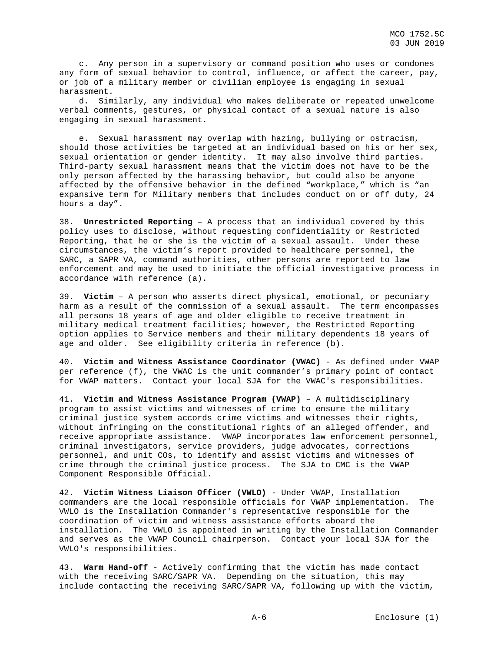c. Any person in a supervisory or command position who uses or condones any form of sexual behavior to control, influence, or affect the career, pay, or job of a military member or civilian employee is engaging in sexual harassment.

 d. Similarly, any individual who makes deliberate or repeated unwelcome verbal comments, gestures, or physical contact of a sexual nature is also engaging in sexual harassment.

 e. Sexual harassment may overlap with hazing, bullying or ostracism, should those activities be targeted at an individual based on his or her sex, sexual orientation or gender identity. It may also involve third parties. Third-party sexual harassment means that the victim does not have to be the only person affected by the harassing behavior, but could also be anyone affected by the offensive behavior in the defined "workplace," which is "an expansive term for Military members that includes conduct on or off duty, 24 hours a day".

38. **Unrestricted Reporting** – A process that an individual covered by this policy uses to disclose, without requesting confidentiality or Restricted Reporting, that he or she is the victim of a sexual assault. Under these circumstances, the victim's report provided to healthcare personnel, the SARC, a SAPR VA, command authorities, other persons are reported to law enforcement and may be used to initiate the official investigative process in accordance with reference (a).

39. **Victim** – A person who asserts direct physical, emotional, or pecuniary harm as a result of the commission of a sexual assault. The term encompasses all persons 18 years of age and older eligible to receive treatment in military medical treatment facilities; however, the Restricted Reporting option applies to Service members and their military dependents 18 years of age and older. See eligibility criteria in reference (b).

40. **Victim and Witness Assistance Coordinator (VWAC)** - As defined under VWAP per reference (f), the VWAC is the unit commander's primary point of contact for VWAP matters. Contact your local SJA for the VWAC's responsibilities.

41. **Victim and Witness Assistance Program (VWAP)** – A multidisciplinary program to assist victims and witnesses of crime to ensure the military criminal justice system accords crime victims and witnesses their rights, without infringing on the constitutional rights of an alleged offender, and receive appropriate assistance. VWAP incorporates law enforcement personnel, criminal investigators, service providers, judge advocates, corrections personnel, and unit COs, to identify and assist victims and witnesses of crime through the criminal justice process. The SJA to CMC is the VWAP Component Responsible Official.

42. **Victim Witness Liaison Officer (VWLO)** - Under VWAP, Installation commanders are the local responsible officials for VWAP implementation. The VWLO is the Installation Commander's representative responsible for the coordination of victim and witness assistance efforts aboard the installation. The VWLO is appointed in writing by the Installation Commander and serves as the VWAP Council chairperson. Contact your local SJA for the VWLO's responsibilities.

43. **Warm Hand-off** - Actively confirming that the victim has made contact with the receiving SARC/SAPR VA. Depending on the situation, this may include contacting the receiving SARC/SAPR VA, following up with the victim,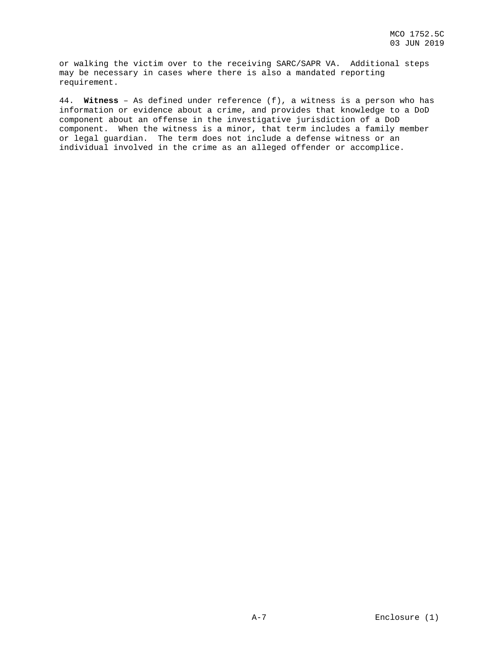or walking the victim over to the receiving SARC/SAPR VA. Additional steps may be necessary in cases where there is also a mandated reporting requirement.

44. **Witness** – As defined under reference (f), a witness is a person who has information or evidence about a crime, and provides that knowledge to a DoD component about an offense in the investigative jurisdiction of a DoD component. When the witness is a minor, that term includes a family member or legal guardian. The term does not include a defense witness or an individual involved in the crime as an alleged offender or accomplice.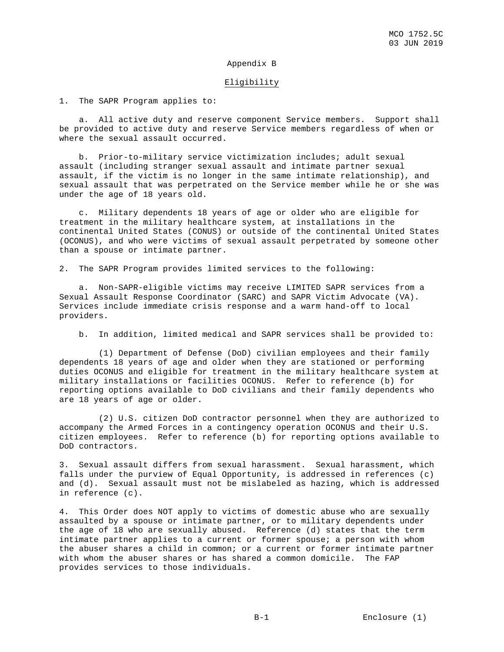## Appendix B

#### Eligibility

1. The SAPR Program applies to:

 a. All active duty and reserve component Service members. Support shall be provided to active duty and reserve Service members regardless of when or where the sexual assault occurred.

 b. Prior-to-military service victimization includes; adult sexual assault (including stranger sexual assault and intimate partner sexual assault, if the victim is no longer in the same intimate relationship), and sexual assault that was perpetrated on the Service member while he or she was under the age of 18 years old.

 c. Military dependents 18 years of age or older who are eligible for treatment in the military healthcare system, at installations in the continental United States (CONUS) or outside of the continental United States (OCONUS), and who were victims of sexual assault perpetrated by someone other than a spouse or intimate partner.

2. The SAPR Program provides limited services to the following:

 a. Non-SAPR-eligible victims may receive LIMITED SAPR services from a Sexual Assault Response Coordinator (SARC) and SAPR Victim Advocate (VA). Services include immediate crisis response and a warm hand-off to local providers.

b. In addition, limited medical and SAPR services shall be provided to:

 (1) Department of Defense (DoD) civilian employees and their family dependents 18 years of age and older when they are stationed or performing duties OCONUS and eligible for treatment in the military healthcare system at military installations or facilities OCONUS. Refer to reference (b) for reporting options available to DoD civilians and their family dependents who are 18 years of age or older.

 (2) U.S. citizen DoD contractor personnel when they are authorized to accompany the Armed Forces in a contingency operation OCONUS and their U.S. citizen employees. Refer to reference (b) for reporting options available to DoD contractors.

3. Sexual assault differs from sexual harassment. Sexual harassment, which falls under the purview of Equal Opportunity, is addressed in references (c) and (d). Sexual assault must not be mislabeled as hazing, which is addressed in reference (c).

4. This Order does NOT apply to victims of domestic abuse who are sexually assaulted by a spouse or intimate partner, or to military dependents under the age of 18 who are sexually abused. Reference (d) states that the term intimate partner applies to a current or former spouse; a person with whom the abuser shares a child in common; or a current or former intimate partner with whom the abuser shares or has shared a common domicile. The FAP provides services to those individuals.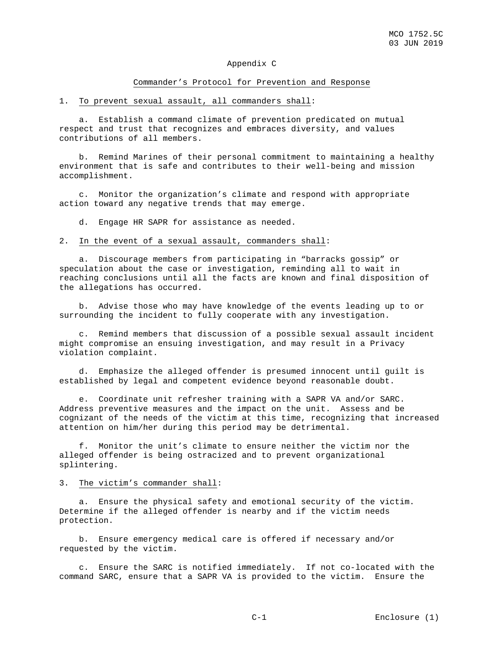## Appendix C

#### Commander's Protocol for Prevention and Response

1. To prevent sexual assault, all commanders shall:

 a. Establish a command climate of prevention predicated on mutual respect and trust that recognizes and embraces diversity, and values contributions of all members.

 b. Remind Marines of their personal commitment to maintaining a healthy environment that is safe and contributes to their well-being and mission accomplishment.

 c. Monitor the organization's climate and respond with appropriate action toward any negative trends that may emerge.

d. Engage HR SAPR for assistance as needed.

#### 2. In the event of a sexual assault, commanders shall:

 a. Discourage members from participating in "barracks gossip" or speculation about the case or investigation, reminding all to wait in reaching conclusions until all the facts are known and final disposition of the allegations has occurred.

 b. Advise those who may have knowledge of the events leading up to or surrounding the incident to fully cooperate with any investigation.

 c. Remind members that discussion of a possible sexual assault incident might compromise an ensuing investigation, and may result in a Privacy violation complaint.

 d. Emphasize the alleged offender is presumed innocent until guilt is established by legal and competent evidence beyond reasonable doubt.

 e. Coordinate unit refresher training with a SAPR VA and/or SARC. Address preventive measures and the impact on the unit. Assess and be cognizant of the needs of the victim at this time, recognizing that increased attention on him/her during this period may be detrimental.

 f. Monitor the unit's climate to ensure neither the victim nor the alleged offender is being ostracized and to prevent organizational splintering.

3. The victim's commander shall:

 a. Ensure the physical safety and emotional security of the victim. Determine if the alleged offender is nearby and if the victim needs protection.

 b. Ensure emergency medical care is offered if necessary and/or requested by the victim.

 c. Ensure the SARC is notified immediately. If not co-located with the command SARC, ensure that a SAPR VA is provided to the victim. Ensure the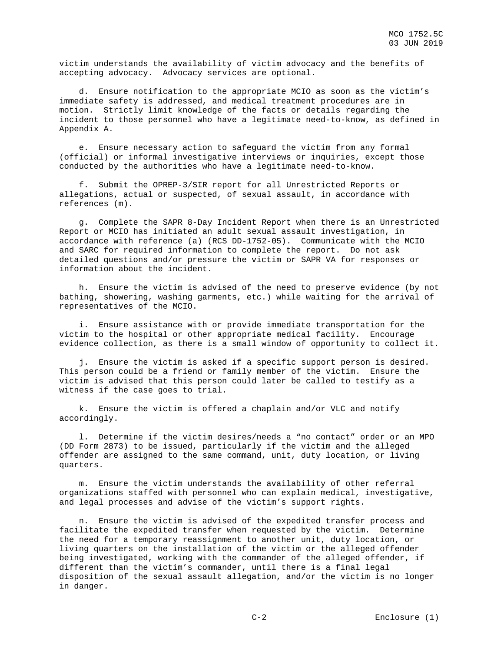victim understands the availability of victim advocacy and the benefits of accepting advocacy. Advocacy services are optional.

 d. Ensure notification to the appropriate MCIO as soon as the victim's immediate safety is addressed, and medical treatment procedures are in motion. Strictly limit knowledge of the facts or details regarding the incident to those personnel who have a legitimate need-to-know, as defined in Appendix A.

 e. Ensure necessary action to safeguard the victim from any formal (official) or informal investigative interviews or inquiries, except those conducted by the authorities who have a legitimate need-to-know.

 f. Submit the OPREP-3/SIR report for all Unrestricted Reports or allegations, actual or suspected, of sexual assault, in accordance with references (m).

 g. Complete the SAPR 8-Day Incident Report when there is an Unrestricted Report or MCIO has initiated an adult sexual assault investigation, in accordance with reference (a) (RCS DD-1752-05). Communicate with the MCIO and SARC for required information to complete the report. Do not ask detailed questions and/or pressure the victim or SAPR VA for responses or information about the incident.

 h. Ensure the victim is advised of the need to preserve evidence (by not bathing, showering, washing garments, etc.) while waiting for the arrival of representatives of the MCIO.

 i. Ensure assistance with or provide immediate transportation for the victim to the hospital or other appropriate medical facility. Encourage evidence collection, as there is a small window of opportunity to collect it.

 j. Ensure the victim is asked if a specific support person is desired. This person could be a friend or family member of the victim. Ensure the victim is advised that this person could later be called to testify as a witness if the case goes to trial.

 k. Ensure the victim is offered a chaplain and/or VLC and notify accordingly.

 l. Determine if the victim desires/needs a "no contact" order or an MPO (DD Form 2873) to be issued, particularly if the victim and the alleged offender are assigned to the same command, unit, duty location, or living quarters.

 m. Ensure the victim understands the availability of other referral organizations staffed with personnel who can explain medical, investigative, and legal processes and advise of the victim's support rights.

 n. Ensure the victim is advised of the expedited transfer process and facilitate the expedited transfer when requested by the victim. Determine the need for a temporary reassignment to another unit, duty location, or living quarters on the installation of the victim or the alleged offender being investigated, working with the commander of the alleged offender, if different than the victim's commander, until there is a final legal disposition of the sexual assault allegation, and/or the victim is no longer in danger.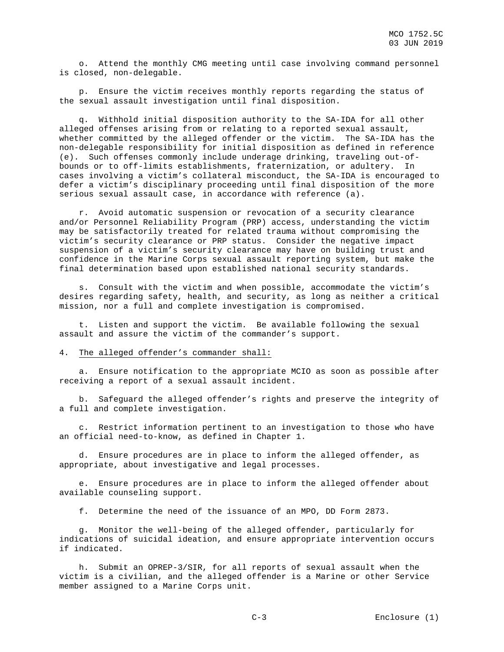o. Attend the monthly CMG meeting until case involving command personnel is closed, non-delegable.

 p. Ensure the victim receives monthly reports regarding the status of the sexual assault investigation until final disposition.

 q. Withhold initial disposition authority to the SA-IDA for all other alleged offenses arising from or relating to a reported sexual assault, whether committed by the alleged offender or the victim. The SA-IDA has the non-delegable responsibility for initial disposition as defined in reference (e). Such offenses commonly include underage drinking, traveling out-ofbounds or to off-limits establishments, fraternization, or adultery. In cases involving a victim's collateral misconduct, the SA-IDA is encouraged to defer a victim's disciplinary proceeding until final disposition of the more serious sexual assault case, in accordance with reference (a).

 r. Avoid automatic suspension or revocation of a security clearance and/or Personnel Reliability Program (PRP) access, understanding the victim may be satisfactorily treated for related trauma without compromising the victim's security clearance or PRP status. Consider the negative impact suspension of a victim's security clearance may have on building trust and confidence in the Marine Corps sexual assault reporting system, but make the final determination based upon established national security standards.

 s. Consult with the victim and when possible, accommodate the victim's desires regarding safety, health, and security, as long as neither a critical mission, nor a full and complete investigation is compromised.

 t. Listen and support the victim. Be available following the sexual assault and assure the victim of the commander's support.

#### 4. The alleged offender's commander shall:

 a. Ensure notification to the appropriate MCIO as soon as possible after receiving a report of a sexual assault incident.

 b. Safeguard the alleged offender's rights and preserve the integrity of a full and complete investigation.

 c. Restrict information pertinent to an investigation to those who have an official need-to-know, as defined in Chapter 1.

 d. Ensure procedures are in place to inform the alleged offender, as appropriate, about investigative and legal processes.

 e. Ensure procedures are in place to inform the alleged offender about available counseling support.

f. Determine the need of the issuance of an MPO, DD Form 2873.

 g. Monitor the well-being of the alleged offender, particularly for indications of suicidal ideation, and ensure appropriate intervention occurs if indicated.

 h. Submit an OPREP-3/SIR, for all reports of sexual assault when the victim is a civilian, and the alleged offender is a Marine or other Service member assigned to a Marine Corps unit.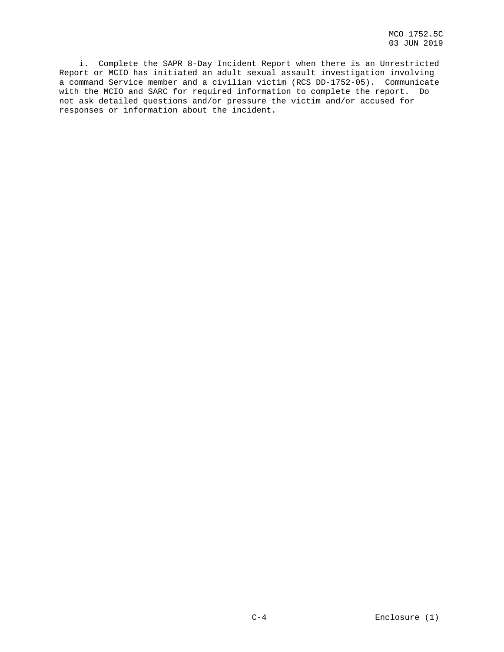i. Complete the SAPR 8-Day Incident Report when there is an Unrestricted Report or MCIO has initiated an adult sexual assault investigation involving a command Service member and a civilian victim (RCS DD-1752-05). Communicate with the MCIO and SARC for required information to complete the report. Do not ask detailed questions and/or pressure the victim and/or accused for responses or information about the incident.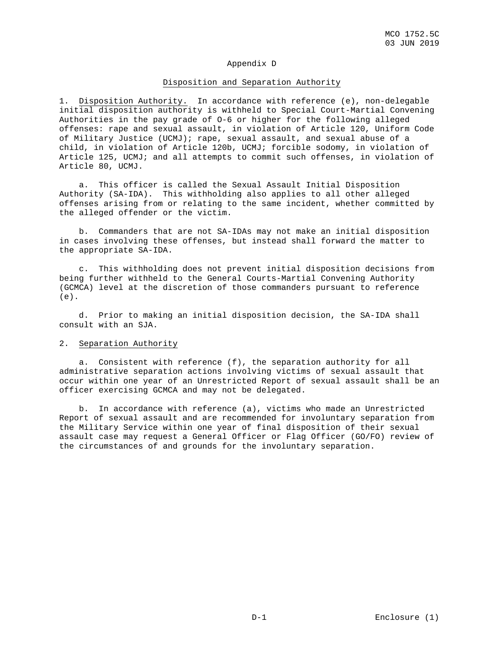## Appendix D

#### Disposition and Separation Authority

1. Disposition Authority. In accordance with reference (e), non-delegable initial disposition authority is withheld to Special Court-Martial Convening Authorities in the pay grade of O-6 or higher for the following alleged offenses: rape and sexual assault, in violation of Article 120, Uniform Code of Military Justice (UCMJ); rape, sexual assault, and sexual abuse of a child, in violation of Article 120b, UCMJ; forcible sodomy, in violation of Article 125, UCMJ; and all attempts to commit such offenses, in violation of Article 80, UCMJ.

 a. This officer is called the Sexual Assault Initial Disposition Authority (SA-IDA). This withholding also applies to all other alleged offenses arising from or relating to the same incident, whether committed by the alleged offender or the victim.

 b. Commanders that are not SA-IDAs may not make an initial disposition in cases involving these offenses, but instead shall forward the matter to the appropriate SA-IDA.

 c. This withholding does not prevent initial disposition decisions from being further withheld to the General Courts-Martial Convening Authority (GCMCA) level at the discretion of those commanders pursuant to reference (e).

 d. Prior to making an initial disposition decision, the SA-IDA shall consult with an SJA.

## 2. Separation Authority

 a. Consistent with reference (f), the separation authority for all administrative separation actions involving victims of sexual assault that occur within one year of an Unrestricted Report of sexual assault shall be an officer exercising GCMCA and may not be delegated.

 b. In accordance with reference (a), victims who made an Unrestricted Report of sexual assault and are recommended for involuntary separation from the Military Service within one year of final disposition of their sexual assault case may request a General Officer or Flag Officer (GO/FO) review of the circumstances of and grounds for the involuntary separation.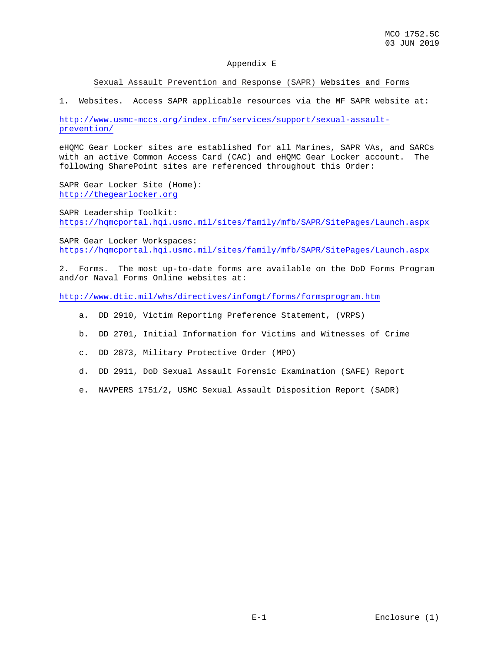## Appendix E

### Sexual Assault Prevention and Response (SAPR) Websites and Forms

1. Websites. Access SAPR applicable resources via the MF SAPR website at:

[http://www.usmc-mccs.org/index.cfm/services/support/sexual-assault](http://www.usmc-mccs.org/index.cfm/services/support/sexual-assault-prevention/)[prevention/](http://www.usmc-mccs.org/index.cfm/services/support/sexual-assault-prevention/) 

eHQMC Gear Locker sites are established for all Marines, SAPR VAs, and SARCs with an active Common Access Card (CAC) and eHQMC Gear Locker account. The following SharePoint sites are referenced throughout this Order:

SAPR Gear Locker Site (Home): [http://thegearlocker.org](https://hqmcportal.hqi.usmc.mil/sites/familydefault.aspx)

SAPR Leadership Toolkit: https://hqmcportal.hqi.usmc.mil/sites/family/mfb/SAPR/SitePages/Launch.aspx

SAPR Gear Locker Workspaces: https://hqmcportal.hqi.usmc.mil/sites/family/mfb/SAPR/SitePages/Launch.aspx

2. Forms. The most up-to-date forms are available on the DoD Forms Program and/or Naval Forms Online websites at:

<http://www.dtic.mil/whs/directives/infomgt/forms/formsprogram.htm>

- a. DD 2910, Victim Reporting Preference Statement, (VRPS)
- b. DD 2701, Initial Information for Victims and Witnesses of Crime
- c. DD 2873, Military Protective Order (MPO)
- d. DD 2911, DoD Sexual Assault Forensic Examination (SAFE) Report
- e. NAVPERS 1751/2, USMC Sexual Assault Disposition Report (SADR)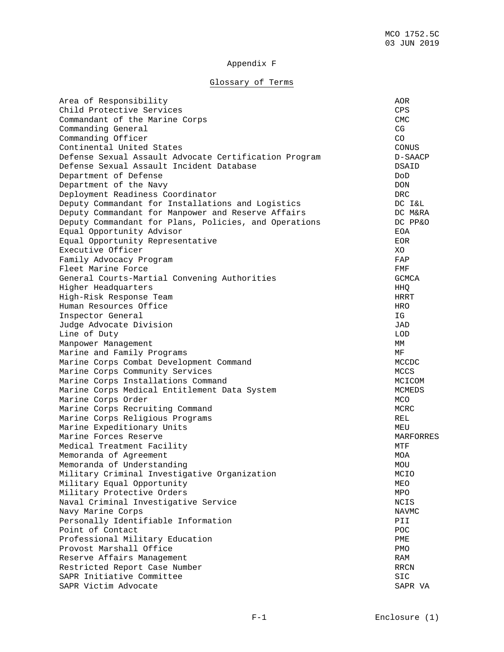## Appendix F

# Glossary of Terms

| Area of Responsibility                                | AOR                    |
|-------------------------------------------------------|------------------------|
| Child Protective Services                             | CPS                    |
| Commandant of the Marine Corps                        | <b>CMC</b>             |
| Commanding General                                    | CG                     |
| Commanding Officer                                    | CO                     |
| Continental United States                             | $\operatorname{CONUS}$ |
| Defense Sexual Assault Advocate Certification Program | D-SAACP                |
| Defense Sexual Assault Incident Database              | DSAID                  |
| Department of Defense                                 | DoD                    |
| Department of the Navy                                | <b>DON</b>             |
| Deployment Readiness Coordinator                      | <b>DRC</b>             |
| Deputy Commandant for Installations and Logistics     | DC I&L                 |
| Deputy Commandant for Manpower and Reserve Affairs    | DC M&RA                |
| Deputy Commandant for Plans, Policies, and Operations | DC PP&O                |
| Equal Opportunity Advisor                             | EOA                    |
| Equal Opportunity Representative                      | EOR.                   |
| Executive Officer                                     | XO                     |
| Family Advocacy Program                               | FAP                    |
| Fleet Marine Force                                    | FMF                    |
|                                                       | GCMCA                  |
| General Courts-Martial Convening Authorities          | HHQ                    |
| Higher Headquarters                                   |                        |
| High-Risk Response Team                               | HRRT                   |
| Human Resources Office                                | <b>HRO</b>             |
| Inspector General                                     | ΙG                     |
| Judge Advocate Division                               | JAD                    |
| Line of Duty                                          | <b>LOD</b>             |
| Manpower Management                                   | МM                     |
| Marine and Family Programs                            | МF                     |
| Marine Corps Combat Development Command               | MCCDC                  |
| Marine Corps Community Services                       | MCCS                   |
| Marine Corps Installations Command                    | MCICOM                 |
| Marine Corps Medical Entitlement Data System          | MCMEDS                 |
| Marine Corps Order                                    | MCO                    |
| Marine Corps Recruiting Command                       | MCRC                   |
| Marine Corps Religious Programs                       | <b>REL</b>             |
| Marine Expeditionary Units                            | MEU                    |
| Marine Forces Reserve                                 | MARFORRES              |
| Medical Treatment Facility                            | MTF                    |
| Memoranda of Agreement                                | MOA                    |
| Memoranda of Understanding                            | $\rm MOU$              |
| Military Criminal Investigative Organization          | MCIO                   |
| Military Equal Opportunity                            | MEO                    |
| Military Protective Orders                            | MPO                    |
| Naval Criminal Investigative Service                  | NCIS                   |
| Navy Marine Corps                                     | <b>NAVMC</b>           |
| Personally Identifiable Information                   | PII                    |
| Point of Contact                                      | POC                    |
| Professional Military Education                       | PME                    |
| Provost Marshall Office                               | PMO                    |
| Reserve Affairs Management                            | RAM                    |
| Restricted Report Case Number                         | RRCN                   |
| SAPR Initiative Committee                             | <b>SIC</b>             |
| SAPR Victim Advocate                                  | SAPR VA                |
|                                                       |                        |